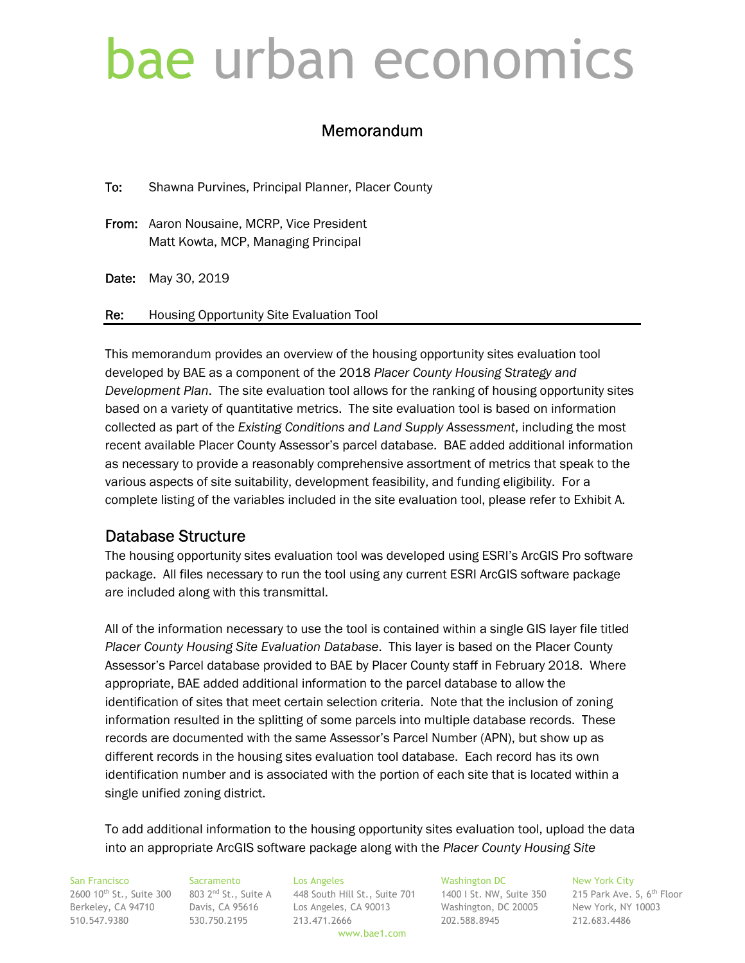# bae urban economics

# Memorandum

To: Shawna Purvines, Principal Planner, Placer County

- From: Aaron Nousaine, MCRP, Vice President Matt Kowta, MCP, Managing Principal
- Date: May 30, 2019

Re: Housing Opportunity Site Evaluation Tool

This memorandum provides an overview of the housing opportunity sites evaluation tool developed by BAE as a component of the 2018 *Placer County Housing Strategy and Development Plan*. The site evaluation tool allows for the ranking of housing opportunity sites based on a variety of quantitative metrics. The site evaluation tool is based on information collected as part of the *Existing Conditions and Land Supply Assessment*, including the most recent available Placer County Assessor's parcel database. BAE added additional information as necessary to provide a reasonably comprehensive assortment of metrics that speak to the various aspects of site suitability, development feasibility, and funding eligibility. For a complete listing of the variables included in the site evaluation tool, please refer to Exhibit A.

# Database Structure

The housing opportunity sites evaluation tool was developed using ESRI's ArcGIS Pro software package. All files necessary to run the tool using any current ESRI ArcGIS software package are included along with this transmittal.

All of the information necessary to use the tool is contained within a single GIS layer file titled *Placer County Housing Site Evaluation Database*. This layer is based on the Placer County Assessor's Parcel database provided to BAE by Placer County staff in February 2018. Where appropriate, BAE added additional information to the parcel database to allow the identification of sites that meet certain selection criteria. Note that the inclusion of zoning information resulted in the splitting of some parcels into multiple database records. These records are documented with the same Assessor's Parcel Number (APN), but show up as different records in the housing sites evaluation tool database. Each record has its own identification number and is associated with the portion of each site that is located within a single unified zoning district.

To add additional information to the housing opportunity sites evaluation tool, upload the data into an appropriate ArcGIS software package along with the *Placer County Housing Site* 

San Francisco Sacramento Los Angeles Washington DC New York City  $2600\ 10^{th}$  St., Suite 300  $-$  803 2nd St., Suite A  $-$  448 South Hill St., Suite 701  $-$  1400 I St. NW, Suite 350  $-$  215 Park Ave. S, 6th Floor Berkeley, CA 94710 Davis, CA 95616 Los Angeles, CA 90013 Washington, DC 20005 New York, NY 10003 510.547.9380 530.750.2195 213.471.2666 202.588.8945 212.683.4486

www.bae1.com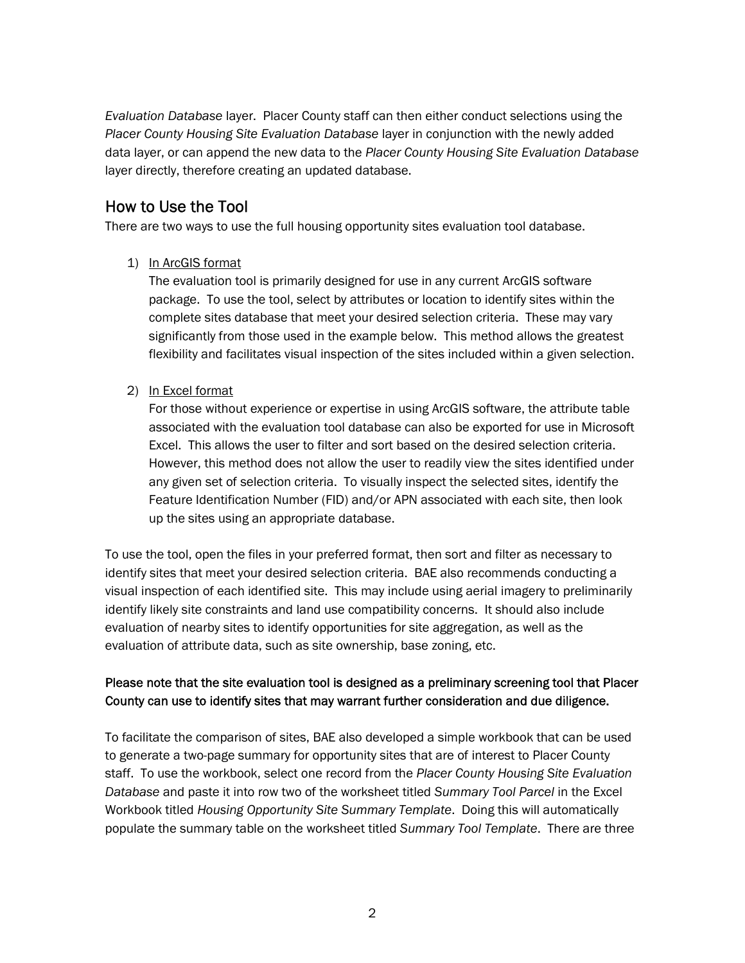*Evaluation Database* layer. Placer County staff can then either conduct selections using the *Placer County Housing Site Evaluation Database* layer in conjunction with the newly added data layer, or can append the new data to the *Placer County Housing Site Evaluation Database* layer directly, therefore creating an updated database.

# How to Use the Tool

There are two ways to use the full housing opportunity sites evaluation tool database.

1) In ArcGIS format

The evaluation tool is primarily designed for use in any current ArcGIS software package. To use the tool, select by attributes or location to identify sites within the complete sites database that meet your desired selection criteria. These may vary significantly from those used in the example below. This method allows the greatest flexibility and facilitates visual inspection of the sites included within a given selection.

2) In Excel format

For those without experience or expertise in using ArcGIS software, the attribute table associated with the evaluation tool database can also be exported for use in Microsoft Excel. This allows the user to filter and sort based on the desired selection criteria. However, this method does not allow the user to readily view the sites identified under any given set of selection criteria. To visually inspect the selected sites, identify the Feature Identification Number (FID) and/or APN associated with each site, then look up the sites using an appropriate database.

To use the tool, open the files in your preferred format, then sort and filter as necessary to identify sites that meet your desired selection criteria. BAE also recommends conducting a visual inspection of each identified site. This may include using aerial imagery to preliminarily identify likely site constraints and land use compatibility concerns. It should also include evaluation of nearby sites to identify opportunities for site aggregation, as well as the evaluation of attribute data, such as site ownership, base zoning, etc.

# Please note that the site evaluation tool is designed as a preliminary screening tool that Placer County can use to identify sites that may warrant further consideration and due diligence.

To facilitate the comparison of sites, BAE also developed a simple workbook that can be used to generate a two-page summary for opportunity sites that are of interest to Placer County staff. To use the workbook, select one record from the *Placer County Housing Site Evaluation Database* and paste it into row two of the worksheet titled *Summary Tool Parcel* in the Excel Workbook titled *Housing Opportunity Site Summary Template*. Doing this will automatically populate the summary table on the worksheet titled *Summary Tool Template*. There are three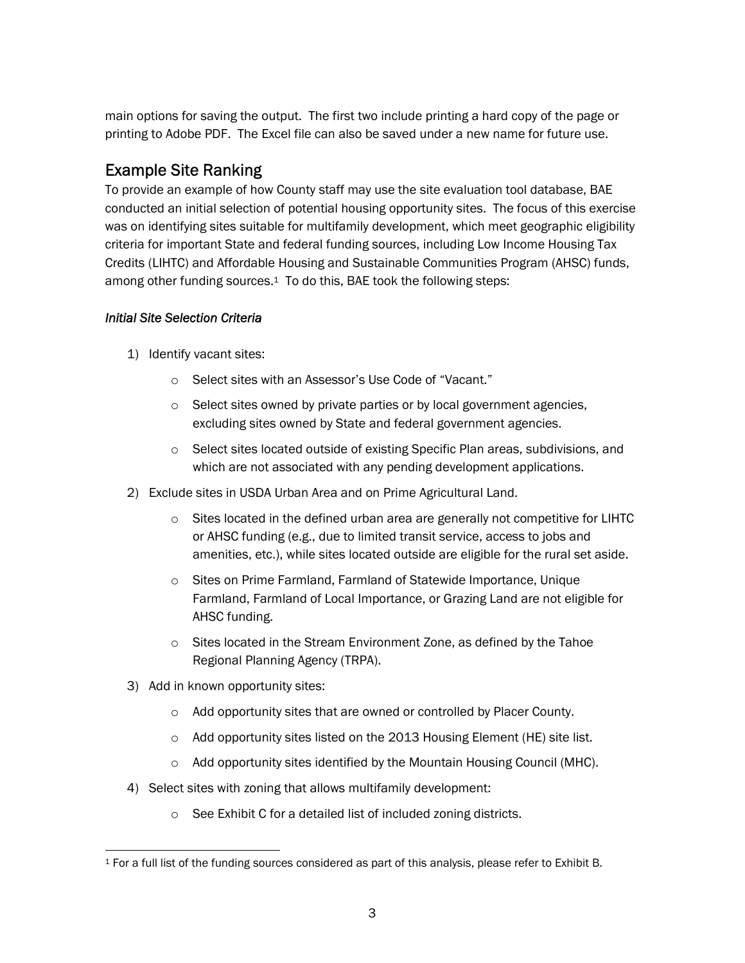main options for saving the output. The first two include printing a hard copy of the page or printing to Adobe PDF. The Excel file can also be saved under a new name for future use.

# Example Site Ranking

To provide an example of how County staff may use the site evaluation tool database, BAE conducted an initial selection of potential housing opportunity sites. The focus of this exercise was on identifying sites suitable for multifamily development, which meet geographic eligibility criteria for important State and federal funding sources, including Low Income Housing Tax Credits (LIHTC) and Affordable Housing and Sustainable Communities Program (AHSC) funds, among other funding sources.<sup>1</sup> To do this, BAE took the following steps:

# *Initial Site Selection Criteria*

- 1) Identify vacant sites:
	- o Select sites with an Assessor's Use Code of "Vacant."
	- o Select sites owned by private parties or by local government agencies, excluding sites owned by State and federal government agencies.
	- o Select sites located outside of existing Specific Plan areas, subdivisions, and which are not associated with any pending development applications.
- 2) Exclude sites in USDA Urban Area and on Prime Agricultural Land.
	- $\circ$  Sites located in the defined urban area are generally not competitive for LIHTC or AHSC funding (e.g., due to limited transit service, access to jobs and amenities, etc.), while sites located outside are eligible for the rural set aside.
	- o Sites on Prime Farmland, Farmland of Statewide Importance, Unique Farmland, Farmland of Local Importance, or Grazing Land are not eligible for AHSC funding.
	- o Sites located in the Stream Environment Zone, as defined by the Tahoe Regional Planning Agency (TRPA).
- 3) Add in known opportunity sites:
	- o Add opportunity sites that are owned or controlled by Placer County.
	- o Add opportunity sites listed on the 2013 Housing Element (HE) site list.
	- o Add opportunity sites identified by the Mountain Housing Council (MHC).
- 4) Select sites with zoning that allows multifamily development:
	- o See Exhibit C for a detailed list of included zoning districts.

 $\overline{a}$ 1 For a full list of the funding sources considered as part of this analysis, please refer to Exhibit B.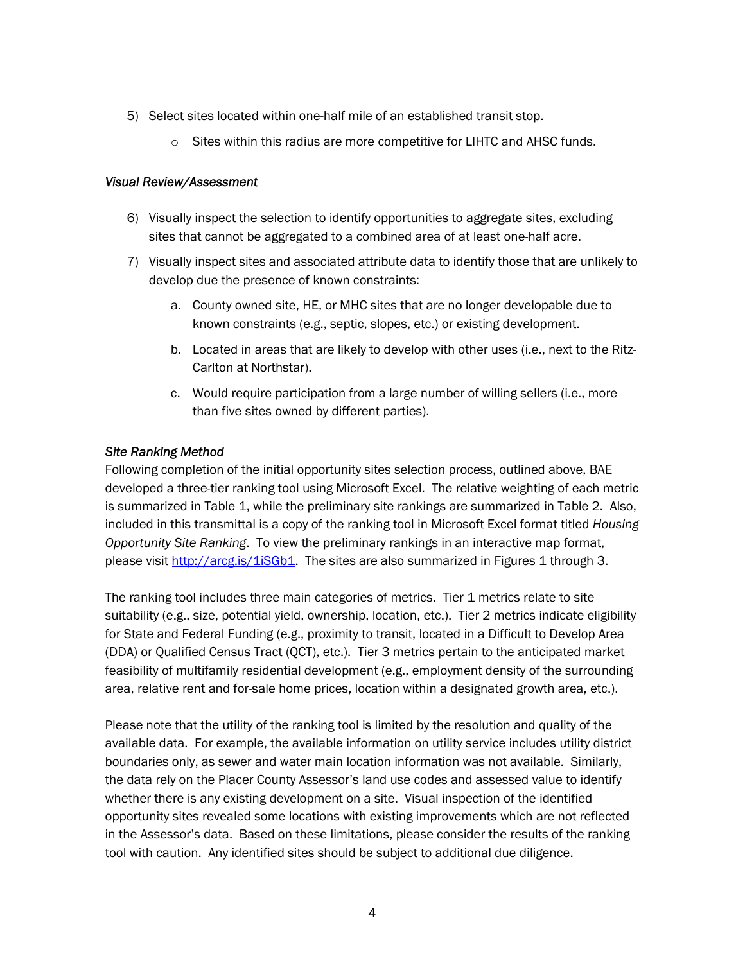- 5) Select sites located within one-half mile of an established transit stop.
	- $\circ$  Sites within this radius are more competitive for LIHTC and AHSC funds.

#### *Visual Review/Assessment*

- 6) Visually inspect the selection to identify opportunities to aggregate sites, excluding sites that cannot be aggregated to a combined area of at least one-half acre.
- 7) Visually inspect sites and associated attribute data to identify those that are unlikely to develop due the presence of known constraints:
	- a. County owned site, HE, or MHC sites that are no longer developable due to known constraints (e.g., septic, slopes, etc.) or existing development.
	- b. Located in areas that are likely to develop with other uses (i.e., next to the Ritz-Carlton at Northstar).
	- c. Would require participation from a large number of willing sellers (i.e., more than five sites owned by different parties).

## *Site Ranking Method*

Following completion of the initial opportunity sites selection process, outlined above, BAE developed a three-tier ranking tool using Microsoft Excel. The relative weighting of each metric is summarized in Table 1, while the preliminary site rankings are summarized in Table 2. Also, included in this transmittal is a copy of the ranking tool in Microsoft Excel format titled *Housing Opportunity Site Ranking*. To view the preliminary rankings in an interactive map format, please visit http://arcg.is/1iSGb1. The sites are also summarized in Figures 1 through 3.

The ranking tool includes three main categories of metrics. Tier 1 metrics relate to site suitability (e.g., size, potential yield, ownership, location, etc.). Tier 2 metrics indicate eligibility for State and Federal Funding (e.g., proximity to transit, located in a Difficult to Develop Area (DDA) or Qualified Census Tract (QCT), etc.). Tier 3 metrics pertain to the anticipated market feasibility of multifamily residential development (e.g., employment density of the surrounding area, relative rent and for-sale home prices, location within a designated growth area, etc.).

Please note that the utility of the ranking tool is limited by the resolution and quality of the available data. For example, the available information on utility service includes utility district boundaries only, as sewer and water main location information was not available. Similarly, the data rely on the Placer County Assessor's land use codes and assessed value to identify whether there is any existing development on a site. Visual inspection of the identified opportunity sites revealed some locations with existing improvements which are not reflected in the Assessor's data. Based on these limitations, please consider the results of the ranking tool with caution. Any identified sites should be subject to additional due diligence.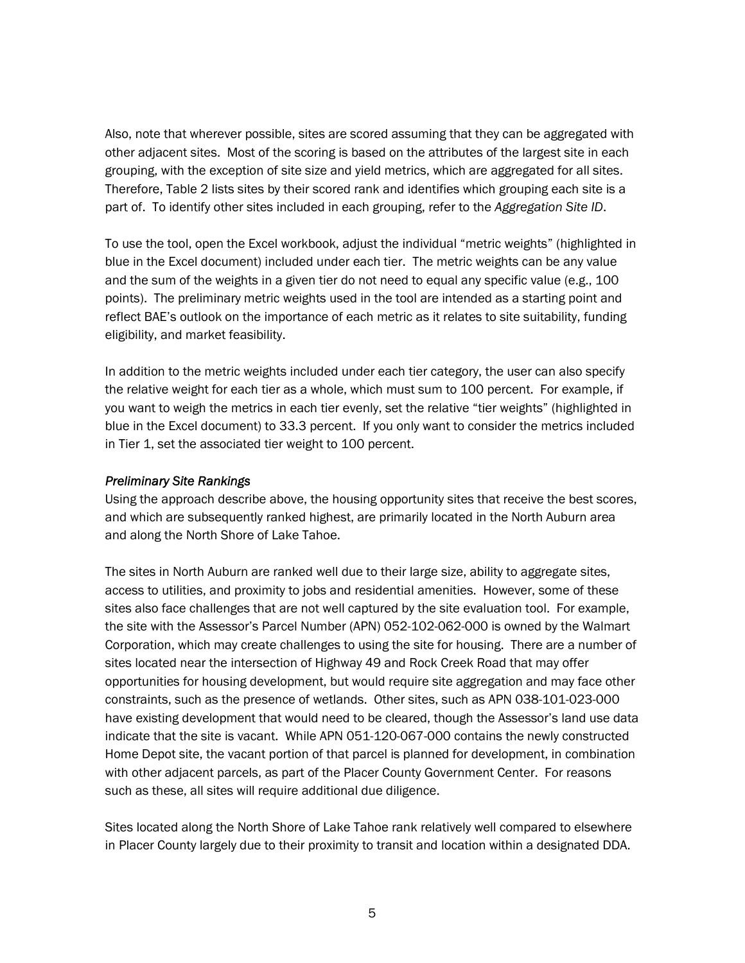Also, note that wherever possible, sites are scored assuming that they can be aggregated with other adjacent sites. Most of the scoring is based on the attributes of the largest site in each grouping, with the exception of site size and yield metrics, which are aggregated for all sites. Therefore, Table 2 lists sites by their scored rank and identifies which grouping each site is a part of. To identify other sites included in each grouping, refer to the *Aggregation Site ID*.

To use the tool, open the Excel workbook, adjust the individual "metric weights" (highlighted in blue in the Excel document) included under each tier. The metric weights can be any value and the sum of the weights in a given tier do not need to equal any specific value (e.g., 100 points). The preliminary metric weights used in the tool are intended as a starting point and reflect BAE's outlook on the importance of each metric as it relates to site suitability, funding eligibility, and market feasibility.

In addition to the metric weights included under each tier category, the user can also specify the relative weight for each tier as a whole, which must sum to 100 percent. For example, if you want to weigh the metrics in each tier evenly, set the relative "tier weights" (highlighted in blue in the Excel document) to 33.3 percent. If you only want to consider the metrics included in Tier 1, set the associated tier weight to 100 percent.

### *Preliminary Site Rankings*

Using the approach describe above, the housing opportunity sites that receive the best scores, and which are subsequently ranked highest, are primarily located in the North Auburn area and along the North Shore of Lake Tahoe.

The sites in North Auburn are ranked well due to their large size, ability to aggregate sites, access to utilities, and proximity to jobs and residential amenities. However, some of these sites also face challenges that are not well captured by the site evaluation tool. For example, the site with the Assessor's Parcel Number (APN) 052-102-062-000 is owned by the Walmart Corporation, which may create challenges to using the site for housing. There are a number of sites located near the intersection of Highway 49 and Rock Creek Road that may offer opportunities for housing development, but would require site aggregation and may face other constraints, such as the presence of wetlands. Other sites, such as APN 038-101-023-000 have existing development that would need to be cleared, though the Assessor's land use data indicate that the site is vacant. While APN 051-120-067-000 contains the newly constructed Home Depot site, the vacant portion of that parcel is planned for development, in combination with other adjacent parcels, as part of the Placer County Government Center. For reasons such as these, all sites will require additional due diligence.

Sites located along the North Shore of Lake Tahoe rank relatively well compared to elsewhere in Placer County largely due to their proximity to transit and location within a designated DDA.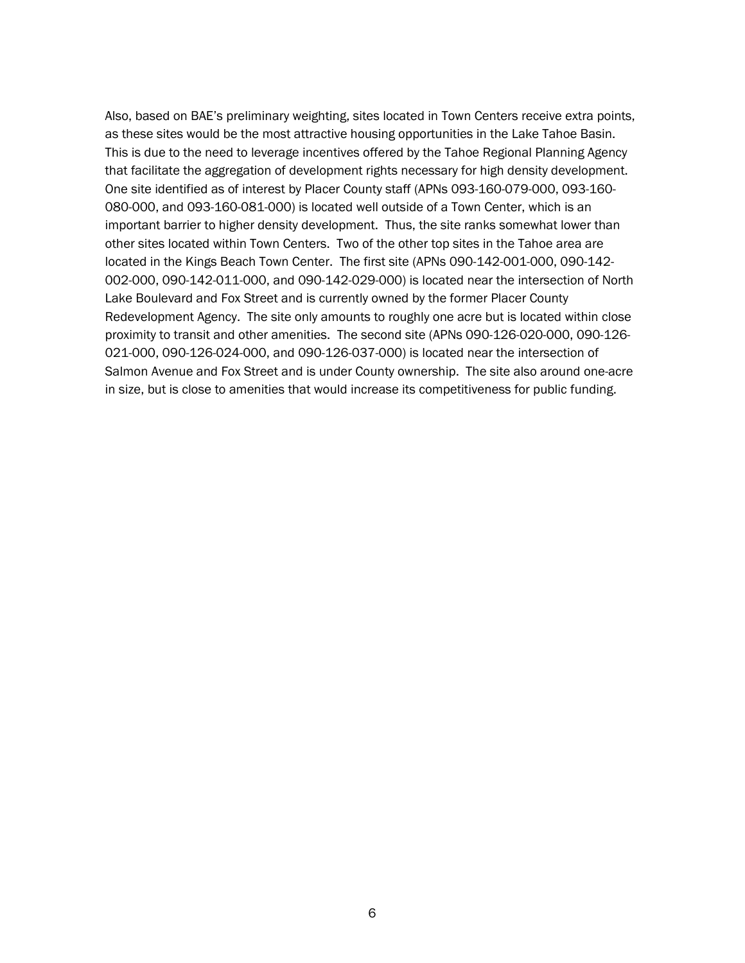Also, based on BAE's preliminary weighting, sites located in Town Centers receive extra points, as these sites would be the most attractive housing opportunities in the Lake Tahoe Basin. This is due to the need to leverage incentives offered by the Tahoe Regional Planning Agency that facilitate the aggregation of development rights necessary for high density development. One site identified as of interest by Placer County staff (APNs 093-160-079-000, 093-160- 080-000, and 093-160-081-000) is located well outside of a Town Center, which is an important barrier to higher density development. Thus, the site ranks somewhat lower than other sites located within Town Centers. Two of the other top sites in the Tahoe area are located in the Kings Beach Town Center. The first site (APNs 090-142-001-000, 090-142-002-000, 090-142-011-000, and 090-142-029-000) is located near the intersection of North Lake Boulevard and Fox Street and is currently owned by the former Placer County Redevelopment Agency. The site only amounts to roughly one acre but is located within close proximity to transit and other amenities. The second site (APNs 090-126-020-000, 090-126- 021-000, 090-126-024-000, and 090-126-037-000) is located near the intersection of Salmon Avenue and Fox Street and is under County ownership. The site also around one-acre in size, but is close to amenities that would increase its competitiveness for public funding.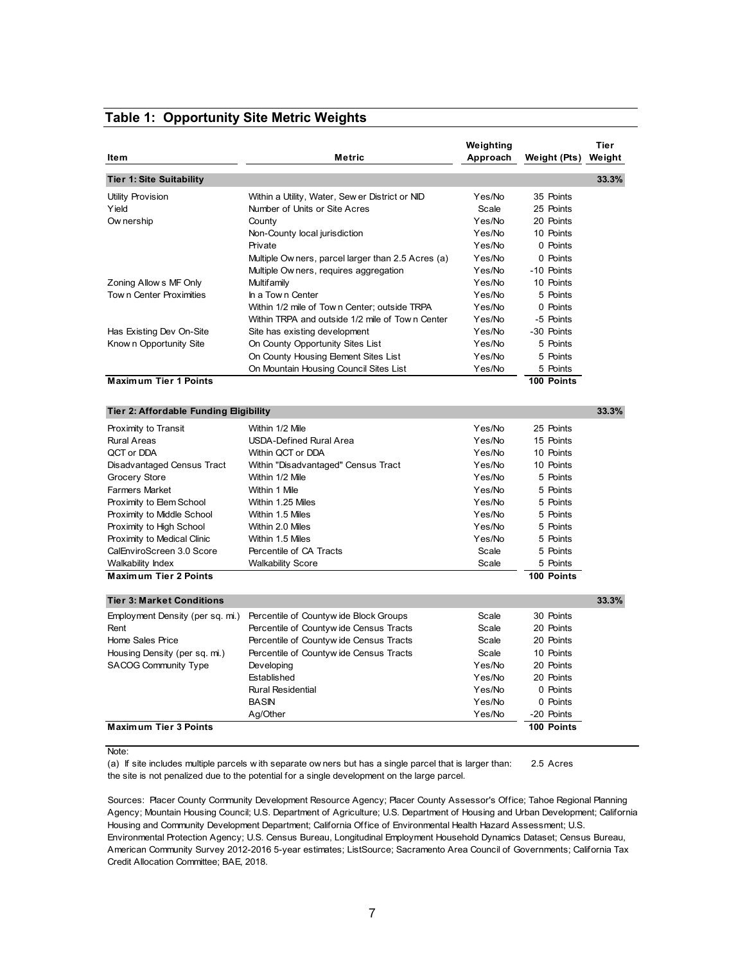#### Weighting **Tier Item Metric Approach Weight (Pts) Weight Tier 1: Site Suitability 33.3%** Utility Provision **Within a Utility, Water, Sew er District or NID** Yes/No 35 Points Yield **Number of Units or Site Acres** Scale 25 Points Points of Units or Site Acres Ow nership County Yes/No 20 Points Non-County local jurisdiction **Non-County In the Unit State of Australia** Yes/No 10 Points Private **Private Private Private Private Private Private Private Private Private Private Private Private Private Private Private Private Private Private Private Private Private Pri** Multiple Ow ners, parcel larger than 2.5 Acres (a) Yes/No 0 Points Multiple Ow ners, requires aggregation The Yes/No -10 Points Zoning Allow s MF Only Multifamily Yes/No 10 Points Tow n Center Proximities In a Town Center Theorem Center Theorem 1999 Yes/No 5 Points Within 1/2 mile of Tow n Center; outside TRPA Yes/No 0 Points Within TRPA and outside 1/2 mile of Town Center Yes/No -5 Points Has Existing Dev On-Site Site has existing development Yes/No -30 Points Know n Opportunity Site County Opportunity Sites List Yes/No 5 Points On County Housing Element Sites List Yes/No 5 Points On Mountain Housing Council Sites List Yes/No 5 Points **Maximum Tier 1 Points 100 Points 100 Points 100 Points Tier 2: Affordable Funding Eligibility 33.3%** Proximity to Transit **Within 1/2 Mile** Within 1/2 Mile Within 1/2 Mile Yes/No 25 Points Rural Areas USDA-Defined Rural Area Yes/No 15 Points QCT or DDA Within QCT or DDA Yes/No 10 Points Disadvantaged Census Tract Within "Disadvantaged" Census Tract Yes/No 10 Points Grocery Store **Within 1/2 Mile Community Community** Pes/No 5 Points Farmers Market Within 1 Mile Yes/No 5 Points Proximity to Elem School Within 1.25 Miles Ves/No 5 Points Proximity to Middle School Within 1.5 Miles With 1.5 Miles Wes/No 5 Points Proximity to High School Within 2.0 Miles Ves/No 5 Points Proximity to Medical Clinic Within 1.5 Miles November 2016 1998 Wes/No 5 Points CalEnviroScreen 3.0 Score Percentile of CA Tracts Scale 5 Points Scale 5 Points Walkability Index **Malkability Score Walkability Score** Scale 5 Points **Maximum Tier 2 Points 100 Points 100 Points Tier 3: Market Conditions 33.3%** Employment Density (per sq. mi.) Percentile of Countyw ide Block Groups Scale 30 Points Rent **Percentile of Countyw ide Census Tracts** Scale 20 Points Home Sales Price **Percentile of Countyw ide Census Tracts** Scale 20 Points Housing Density (per sq. mi.) Percentile of Countyw ide Census Tracts Scale 10 Points SACOG Community Type Developing Developing The SACOG Community Type Developing The Ves/No 20 Points Established Yes/No 20 Points Rural Residential Yes/No 0 Points BASIN Yes/No 0 Points Ag/Other Yes/No -20 Points **Maximum Tier 3 Points 100 Points 100 Points** Note:

#### **Table 1: Opportunity Site Metric Weights**

(a) If site includes multiple parcels w ith separate ow ners but has a single parcel that is larger than: 2.5 Acres the site is not penalized due to the potential for a single development on the large parcel.

Sources: Placer County Community Development Resource Agency; Placer County Assessor's Office; Tahoe Regional Planning Agency; Mountain Housing Council; U.S. Department of Agriculture; U.S. Department of Housing and Urban Development; California Housing and Community Development Department; California Office of Environmental Health Hazard Assessment; U.S. Environmental Protection Agency; U.S. Census Bureau, Longitudinal Employment Household Dynamics Dataset; Census Bureau, American Community Survey 2012-2016 5-year estimates; ListSource; Sacramento Area Council of Governments; California Tax Credit Allocation Committee; BAE, 2018.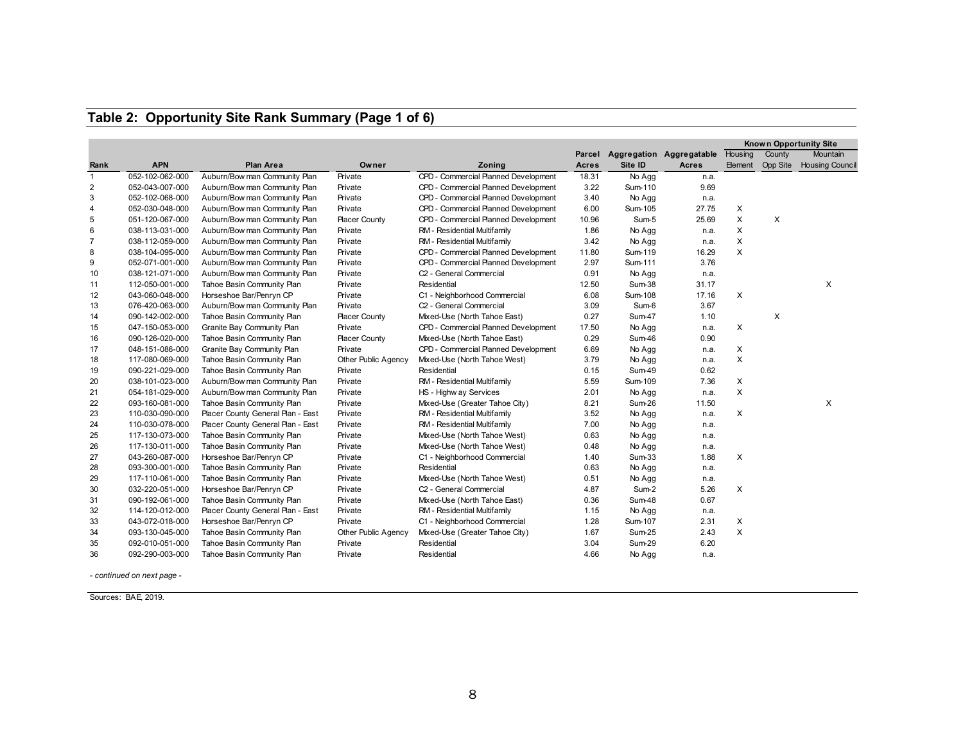## **Table 2: Opportunity Site Rank Summary (Page 1 of 6)**

|                |                 |                                   |                      |                                      |              |               | <b>Known Opportunity Site</b> |         |          |                                  |
|----------------|-----------------|-----------------------------------|----------------------|--------------------------------------|--------------|---------------|-------------------------------|---------|----------|----------------------------------|
|                |                 |                                   |                      |                                      | Parcel       |               | Aggregation Aggregatable      | Housing | County   | Mountain                         |
| Rank           | <b>APN</b>      | <b>Plan Area</b>                  | Owner                | Zoning                               | <b>Acres</b> | Site ID       | Acres                         |         |          | Element Opp Site Housing Council |
| $\mathbf{1}$   | 052-102-062-000 | Auburn/Bow man Community Plan     | Private              | CPD - Commercial Planned Development | 18.31        | No Agg        | n.a.                          |         |          |                                  |
| 2              | 052-043-007-000 | Auburn/Bow man Community Plan     | Private              | CPD - Commercial Planned Development | 3.22         | Sum-110       | 9.69                          |         |          |                                  |
| 3              | 052-102-068-000 | Auburn/Bow man Community Plan     | Private              | CPD - Commercial Planned Development | 3.40         | No Agg        | n.a.                          |         |          |                                  |
| 4              | 052-030-048-000 | Auburn/Bow man Community Plan     | Private              | CPD - Commercial Planned Development | 6.00         | Sum-105       | 27.75                         | X       |          |                                  |
| 5              | 051-120-067-000 | Auburn/Bow man Community Plan     | <b>Placer County</b> | CPD - Commercial Planned Development | 10.96        | Sum-5         | 25.69                         | X       | $\times$ |                                  |
| 6              | 038-113-031-000 | Auburn/Bow man Community Plan     | Private              | RM - Residential Multifamily         | 1.86         | No Agg        | n.a.                          | X       |          |                                  |
| $\overline{7}$ | 038-112-059-000 | Auburn/Bow man Community Plan     | Private              | RM - Residential Multifamily         | 3.42         | No Agg        | n.a.                          | X       |          |                                  |
| 8              | 038-104-095-000 | Auburn/Bow man Community Plan     | Private              | CPD - Commercial Planned Development | 11.80        | Sum-119       | 16.29                         | X       |          |                                  |
| 9              | 052-071-001-000 | Auburn/Bow man Community Plan     | Private              | CPD - Commercial Planned Development | 2.97         | Sum-111       | 3.76                          |         |          |                                  |
| 10             | 038-121-071-000 | Auburn/Bow man Community Plan     | Private              | C <sub>2</sub> - General Commercial  | 0.91         | No Agg        | n.a.                          |         |          |                                  |
| 11             | 112-050-001-000 | Tahoe Basin Community Plan        | Private              | Residential                          | 12.50        | Sum-38        | 31.17                         |         |          | $\times$                         |
| 12             | 043-060-048-000 | Horseshoe Bar/Penryn CP           | Private              | C1 - Neighborhood Commercial         | 6.08         | Sum-108       | 17.16                         | X       |          |                                  |
| 13             | 076-420-063-000 | Auburn/Bow man Community Plan     | Private              | C <sub>2</sub> - General Commercial  | 3.09         | Sum-6         | 3.67                          |         |          |                                  |
| 14             | 090-142-002-000 | Tahoe Basin Community Plan        | <b>Placer County</b> | Mixed-Use (North Tahoe East)         | 0.27         | Sum-47        | 1.10                          |         | $\times$ |                                  |
| 15             | 047-150-053-000 | Granite Bay Community Plan        | Private              | CPD - Commercial Planned Development | 17.50        | No Agg        | n.a.                          | X       |          |                                  |
| 16             | 090-126-020-000 | Tahoe Basin Community Plan        | <b>Placer County</b> | Mixed-Use (North Tahoe East)         | 0.29         | Sum-46        | 0.90                          |         |          |                                  |
| 17             | 048-151-086-000 | Granite Bay Community Plan        | Private              | CPD - Commercial Planned Development | 6.69         | No Agg        | n.a.                          | X       |          |                                  |
| 18             | 117-080-069-000 | Tahoe Basin Community Plan        | Other Public Agency  | Mixed-Use (North Tahoe West)         | 3.79         | No Agg        | n.a.                          | X       |          |                                  |
| 19             | 090-221-029-000 | Tahoe Basin Community Plan        | Private              | Residential                          | 0.15         | <b>Sum-49</b> | 0.62                          |         |          |                                  |
| 20             | 038-101-023-000 | Auburn/Bow man Community Plan     | Private              | RM - Residential Multifamily         | 5.59         | Sum-109       | 7.36                          | X       |          |                                  |
| 21             | 054-181-029-000 | Auburn/Bow man Community Plan     | Private              | HS - Highw ay Services               | 2.01         | No Agg        | n.a.                          | X       |          |                                  |
| 22             | 093-160-081-000 | Tahoe Basin Community Plan        | Private              | Mixed-Use (Greater Tahoe City)       | 8.21         | Sum-26        | 11.50                         |         |          | X                                |
| 23             | 110-030-090-000 | Placer County General Plan - East | Private              | RM - Residential Multifamily         | 3.52         | No Agg        | n.a.                          | X       |          |                                  |
| 24             | 110-030-078-000 | Placer County General Plan - East | Private              | RM - Residential Multifamily         | 7.00         | No Agg        | n.a.                          |         |          |                                  |
| 25             | 117-130-073-000 | Tahoe Basin Community Plan        | Private              | Mixed-Use (North Tahoe West)         | 0.63         | No Agg        | n.a.                          |         |          |                                  |
| 26             | 117-130-011-000 | Tahoe Basin Community Plan        | Private              | Mixed-Use (North Tahoe West)         | 0.48         | No Agg        | n.a.                          |         |          |                                  |
| 27             | 043-260-087-000 | Horseshoe Bar/Penryn CP           | Private              | C1 - Neighborhood Commercial         | 1.40         | Sum-33        | 1.88                          | X       |          |                                  |
| 28             | 093-300-001-000 | Tahoe Basin Community Plan        | Private              | Residential                          | 0.63         | No Agg        | n.a.                          |         |          |                                  |
| 29             | 117-110-061-000 | Tahoe Basin Community Plan        | Private              | Mixed-Use (North Tahoe West)         | 0.51         | No Agg        | n.a.                          |         |          |                                  |
| 30             | 032-220-051-000 | Horseshoe Bar/Penryn CP           | Private              | C <sub>2</sub> - General Commercial  | 4.87         | Sum-2         | 5.26                          | X       |          |                                  |
| 31             | 090-192-061-000 | Tahoe Basin Community Plan        | Private              | Mixed-Use (North Tahoe East)         | 0.36         | Sum-48        | 0.67                          |         |          |                                  |
| 32             | 114-120-012-000 | Placer County General Plan - East | Private              | RM - Residential Multifamily         | 1.15         | No Agg        | n.a.                          |         |          |                                  |
| 33             | 043-072-018-000 | Horseshoe Bar/Penryn CP           | Private              | C1 - Neighborhood Commercial         | 1.28         | Sum-107       | 2.31                          | X       |          |                                  |
| 34             | 093-130-045-000 | Tahoe Basin Community Plan        | Other Public Agency  | Mixed-Use (Greater Tahoe City)       | 1.67         | Sum-25        | 2.43                          | X       |          |                                  |
| 35             | 092-010-051-000 | Tahoe Basin Community Plan        | Private              | Residential                          | 3.04         | Sum-29        | 6.20                          |         |          |                                  |
| 36             | 092-290-003-000 | Tahoe Basin Community Plan        | Private              | Residential                          | 4.66         | No Agg        | n.a.                          |         |          |                                  |

*- continued on next page -*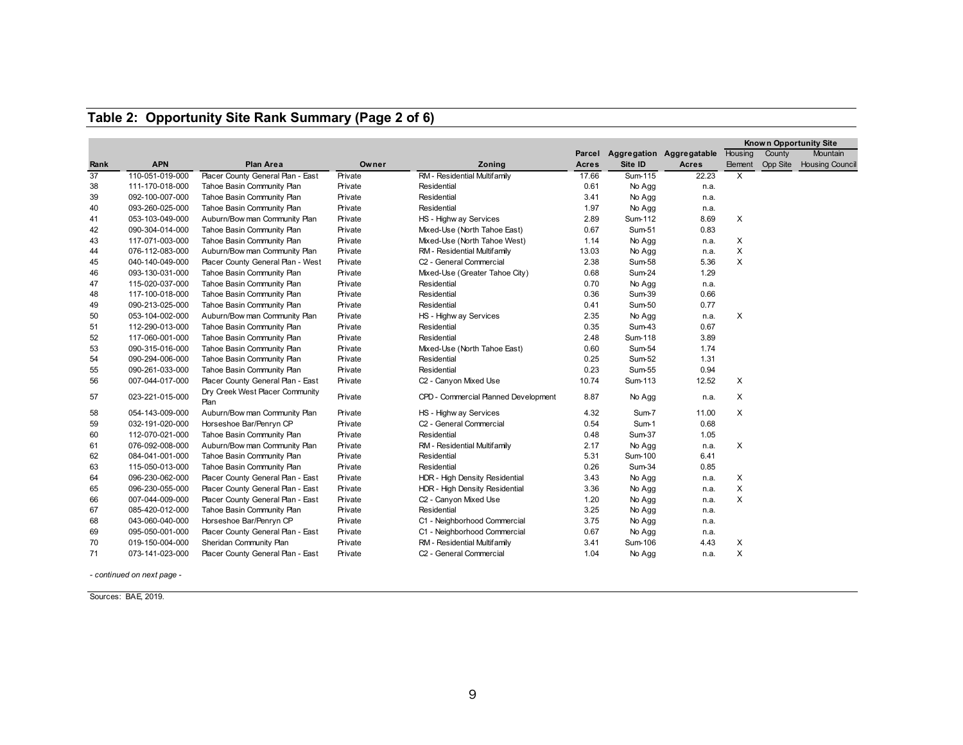## **Table 2: Opportunity Site Rank Summary (Page 2 of 6)**

|      |                 |                                         |         |                                      |              |               |                          |                |                 | Known Opportunity Site |
|------|-----------------|-----------------------------------------|---------|--------------------------------------|--------------|---------------|--------------------------|----------------|-----------------|------------------------|
|      |                 |                                         |         |                                      | Parcel       |               | Aggregation Aggregatable | Housing        | County          | <b>Mountain</b>        |
| Rank | <b>APN</b>      | Plan Area                               | Owner   | Zoning                               | <b>Acres</b> | Site ID       | Acres                    | <b>Element</b> | <b>Opp Site</b> | <b>Housing Council</b> |
| 37   | 110-051-019-000 | Placer County General Plan - East       | Private | RM - Residential Multifamily         | 17.66        | Sum-115       | 22.23                    | X              |                 |                        |
| 38   | 111-170-018-000 | Tahoe Basin Community Plan              | Private | Residential                          | 0.61         | No Agg        | n.a.                     |                |                 |                        |
| 39   | 092-100-007-000 | Tahoe Basin Community Plan              | Private | Residential                          | 3.41         | No Agg        | n.a.                     |                |                 |                        |
| 40   | 093-260-025-000 | Tahoe Basin Community Plan              | Private | Residential                          | 1.97         | No Agg        | n.a.                     |                |                 |                        |
| 41   | 053-103-049-000 | Auburn/Bow man Community Plan           | Private | HS - Highw ay Services               | 2.89         | Sum-112       | 8.69                     | X              |                 |                        |
| 42   | 090-304-014-000 | Tahoe Basin Community Plan              | Private | Mixed-Use (North Tahoe East)         | 0.67         | Sum-51        | 0.83                     |                |                 |                        |
| 43   | 117-071-003-000 | Tahoe Basin Community Plan              | Private | Mixed-Use (North Tahoe West)         | 1.14         | No Agg        | n.a.                     | X              |                 |                        |
| 44   | 076-112-083-000 | Auburn/Bow man Community Plan           | Private | RM - Residential Multifamily         | 13.03        | No Agg        | n.a.                     | X              |                 |                        |
| 45   | 040-140-049-000 | Placer County General Plan - West       | Private | C <sub>2</sub> - General Commercial  | 2.38         | <b>Sum-58</b> | 5.36                     | X              |                 |                        |
| 46   | 093-130-031-000 | Tahoe Basin Community Plan              | Private | Mixed-Use (Greater Tahoe City)       | 0.68         | Sum-24        | 1.29                     |                |                 |                        |
| 47   | 115-020-037-000 | Tahoe Basin Community Plan              | Private | Residential                          | 0.70         | No Agg        | n.a.                     |                |                 |                        |
| 48   | 117-100-018-000 | Tahoe Basin Community Plan              | Private | Residential                          | 0.36         | Sum-39        | 0.66                     |                |                 |                        |
| 49   | 090-213-025-000 | Tahoe Basin Community Plan              | Private | Residential                          | 0.41         | Sum-50        | 0.77                     |                |                 |                        |
| 50   | 053-104-002-000 | Auburn/Bow man Community Plan           | Private | HS - Highw ay Services               | 2.35         | No Agg        | n.a.                     | X              |                 |                        |
| 51   | 112-290-013-000 | Tahoe Basin Community Plan              | Private | Residential                          | 0.35         | Sum-43        | 0.67                     |                |                 |                        |
| 52   | 117-060-001-000 | Tahoe Basin Community Plan              | Private | Residential                          | 2.48         | Sum-118       | 3.89                     |                |                 |                        |
| 53   | 090-315-016-000 | Tahoe Basin Community Plan              | Private | Mixed-Use (North Tahoe East)         | 0.60         | Sum-54        | 1.74                     |                |                 |                        |
| 54   | 090-294-006-000 | Tahoe Basin Community Plan              | Private | Residential                          | 0.25         | Sum-52        | 1.31                     |                |                 |                        |
| 55   | 090-261-033-000 | Tahoe Basin Community Plan              | Private | Residential                          | 0.23         | Sum-55        | 0.94                     |                |                 |                        |
| 56   | 007-044-017-000 | Placer County General Plan - East       | Private | C2 - Canyon Mixed Use                | 10.74        | Sum-113       | 12.52                    | X              |                 |                        |
| 57   | 023-221-015-000 | Dry Creek West Placer Community<br>Plan | Private | CPD - Commercial Planned Development | 8.87         | No Agg        | n.a.                     | X              |                 |                        |
| 58   | 054-143-009-000 | Auburn/Bow man Community Plan           | Private | HS - Highw ay Services               | 4.32         | Sum-7         | 11.00                    | X              |                 |                        |
| 59   | 032-191-020-000 | Horseshoe Bar/Penryn CP                 | Private | C2 - General Commercial              | 0.54         | Sum-1         | 0.68                     |                |                 |                        |
| 60   | 112-070-021-000 | Tahoe Basin Community Plan              | Private | Residential                          | 0.48         | $Sum-37$      | 1.05                     |                |                 |                        |
| 61   | 076-092-008-000 | Auburn/Bow man Community Plan           | Private | RM - Residential Multifamily         | 2.17         | No Agg        | n.a.                     | X              |                 |                        |
| 62   | 084-041-001-000 | Tahoe Basin Community Plan              | Private | Residential                          | 5.31         | Sum-100       | 6.41                     |                |                 |                        |
| 63   | 115-050-013-000 | Tahoe Basin Community Plan              | Private | Residential                          | 0.26         | Sum-34        | 0.85                     |                |                 |                        |
| 64   | 096-230-062-000 | Placer County General Plan - East       | Private | HDR - High Density Residential       | 3.43         | No Agg        | n.a.                     | X              |                 |                        |
| 65   | 096-230-055-000 | Placer County General Plan - East       | Private | HDR - High Density Residential       | 3.36         | No Agg        | n.a.                     | X              |                 |                        |
| 66   | 007-044-009-000 | Placer County General Plan - East       | Private | C2 - Canyon Mixed Use                | 1.20         | No Agg        | n.a.                     | X              |                 |                        |
| 67   | 085-420-012-000 | Tahoe Basin Community Plan              | Private | Residential                          | 3.25         | No Agg        | n.a.                     |                |                 |                        |
| 68   | 043-060-040-000 | Horseshoe Bar/Penryn CP                 | Private | C1 - Neighborhood Commercial         | 3.75         | No Agg        | n.a.                     |                |                 |                        |
| 69   | 095-050-001-000 | Placer County General Plan - East       | Private | C1 - Neighborhood Commercial         | 0.67         | No Agg        | n.a.                     |                |                 |                        |
| 70   | 019-150-004-000 | Sheridan Community Plan                 | Private | RM - Residential Multifamily         | 3.41         | Sum-106       | 4.43                     | X              |                 |                        |
| 71   | 073-141-023-000 | Placer County General Plan - East       | Private | C <sub>2</sub> - General Commercial  | 1.04         | No Agg        | n.a.                     | X              |                 |                        |

*- continued on next page -*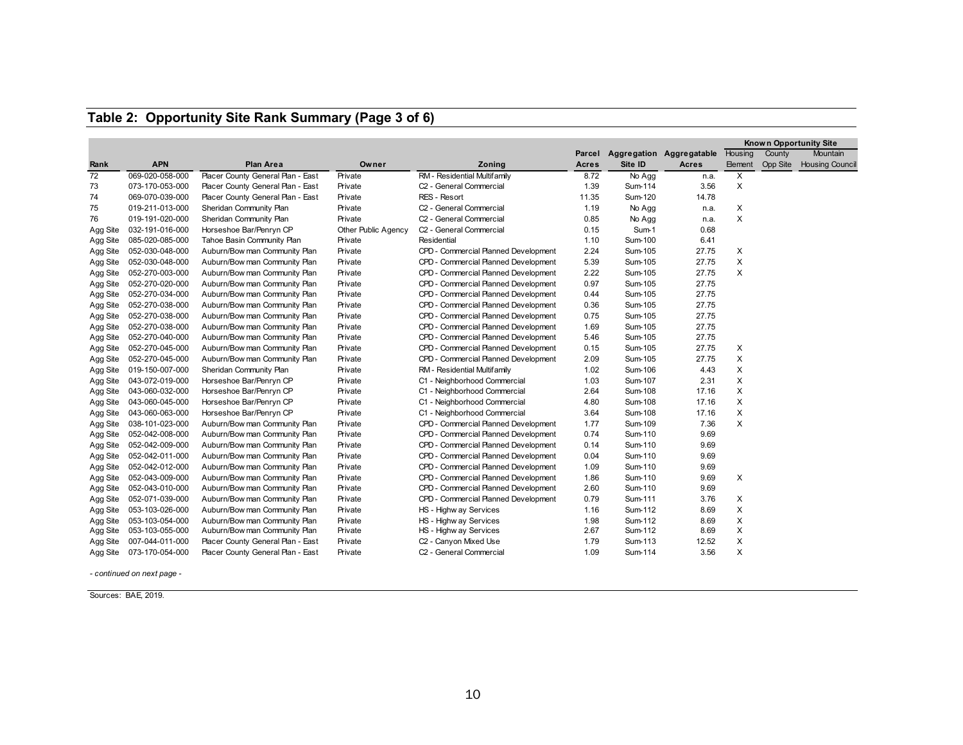### **Table 2: Opportunity Site Rank Summary (Page 3 of 6)**

|          |                          |                                   |                     |                                      |        |         |                          |                |          | <b>Known Opportunity Site</b> |
|----------|--------------------------|-----------------------------------|---------------------|--------------------------------------|--------|---------|--------------------------|----------------|----------|-------------------------------|
|          |                          |                                   |                     |                                      | Parcel |         | Aggregation Aggregatable | Housing        | County   | Mountain                      |
| Rank     | <b>APN</b>               | <b>Plan Area</b>                  | Owner               | Zoning                               | Acres  | Site ID | <b>Acres</b>             | <b>Element</b> | Opp Site | <b>Housing Council</b>        |
| 72       | 069-020-058-000          | Placer County General Plan - East | Private             | RM - Residential Multifamily         | 8.72   | No Agg  | n.a.                     | Χ              |          |                               |
| 73       | 073-170-053-000          | Placer County General Plan - East | Private             | C2 - General Commercial              | 1.39   | Sum-114 | 3.56                     | X              |          |                               |
| 74       | 069-070-039-000          | Placer County General Plan - East | Private             | <b>RES - Resort</b>                  | 11.35  | Sum-120 | 14.78                    |                |          |                               |
| 75       | 019-211-013-000          | Sheridan Community Plan           | Private             | C <sub>2</sub> - General Commercial  | 1.19   | No Agg  | n.a.                     | X              |          |                               |
| 76       | 019-191-020-000          | Sheridan Community Plan           | Private             | C <sub>2</sub> - General Commercial  | 0.85   | No Agg  | n.a.                     | X              |          |                               |
| Agg Site | 032-191-016-000          | Horseshoe Bar/Penryn CP           | Other Public Agency | C <sub>2</sub> - General Commercial  | 0.15   | Sum-1   | 0.68                     |                |          |                               |
| Agg Site | 085-020-085-000          | Tahoe Basin Community Plan        | Private             | Residential                          | 1.10   | Sum-100 | 6.41                     |                |          |                               |
| Agg Site | 052-030-048-000          | Auburn/Bow man Community Plan     | Private             | CPD - Commercial Planned Development | 2.24   | Sum-105 | 27.75                    | X              |          |                               |
| Agg Site | 052-030-048-000          | Auburn/Bow man Community Plan     | Private             | CPD - Commercial Planned Development | 5.39   | Sum-105 | 27.75                    | X              |          |                               |
| Agg Site | 052-270-003-000          | Auburn/Bow man Community Plan     | Private             | CPD - Commercial Planned Development | 2.22   | Sum-105 | 27.75                    | X              |          |                               |
| Agg Site | 052-270-020-000          | Auburn/Bow man Community Plan     | Private             | CPD - Commercial Planned Development | 0.97   | Sum-105 | 27.75                    |                |          |                               |
| Agg Site | 052-270-034-000          | Auburn/Bow man Community Plan     | Private             | CPD - Commercial Planned Development | 0.44   | Sum-105 | 27.75                    |                |          |                               |
| Agg Site | 052-270-038-000          | Auburn/Bow man Community Plan     | Private             | CPD - Commercial Planned Development | 0.36   | Sum-105 | 27.75                    |                |          |                               |
| Agg Site | 052-270-038-000          | Auburn/Bow man Community Plan     | Private             | CPD - Commercial Planned Development | 0.75   | Sum-105 | 27.75                    |                |          |                               |
| Agg Site | 052-270-038-000          | Auburn/Bow man Community Plan     | Private             | CPD - Commercial Planned Development | 1.69   | Sum-105 | 27.75                    |                |          |                               |
| Agg Site | 052-270-040-000          | Auburn/Bow man Community Plan     | Private             | CPD - Commercial Planned Development | 5.46   | Sum-105 | 27.75                    |                |          |                               |
| Agg Site | 052-270-045-000          | Auburn/Bow man Community Plan     | Private             | CPD - Commercial Planned Development | 0.15   | Sum-105 | 27.75                    | X              |          |                               |
| Agg Site | 052-270-045-000          | Auburn/Bow man Community Plan     | Private             | CPD - Commercial Planned Development | 2.09   | Sum-105 | 27.75                    | X              |          |                               |
| Agg Site | 019-150-007-000          | Sheridan Community Plan           | Private             | RM - Residential Multifamily         | 1.02   | Sum-106 | 4.43                     | X              |          |                               |
|          | Agg Site 043-072-019-000 | Horseshoe Bar/Penryn CP           | Private             | C1 - Neighborhood Commercial         | 1.03   | Sum-107 | 2.31                     | X              |          |                               |
| Agg Site | 043-060-032-000          | Horseshoe Bar/Penryn CP           | Private             | C1 - Neighborhood Commercial         | 2.64   | Sum-108 | 17.16                    | X              |          |                               |
| Agg Site | 043-060-045-000          | Horseshoe Bar/Penryn CP           | Private             | C1 - Neighborhood Commercial         | 4.80   | Sum-108 | 17.16                    | X              |          |                               |
| Agg Site | 043-060-063-000          | Horseshoe Bar/Penryn CP           | Private             | C1 - Neighborhood Commercial         | 3.64   | Sum-108 | 17.16                    | X              |          |                               |
| Agg Site | 038-101-023-000          | Auburn/Bow man Community Plan     | Private             | CPD - Commercial Planned Development | 1.77   | Sum-109 | 7.36                     | X              |          |                               |
| Agg Site | 052-042-008-000          | Auburn/Bow man Community Plan     | Private             | CPD - Commercial Planned Development | 0.74   | Sum-110 | 9.69                     |                |          |                               |
| Agg Site | 052-042-009-000          | Auburn/Bow man Community Plan     | Private             | CPD - Commercial Planned Development | 0.14   | Sum-110 | 9.69                     |                |          |                               |
| Agg Site | 052-042-011-000          | Auburn/Bow man Community Plan     | Private             | CPD - Commercial Planned Development | 0.04   | Sum-110 | 9.69                     |                |          |                               |
| Agg Site | 052-042-012-000          | Auburn/Bow man Community Plan     | Private             | CPD - Commercial Planned Development | 1.09   | Sum-110 | 9.69                     |                |          |                               |
| Agg Site | 052-043-009-000          | Auburn/Bow man Community Plan     | Private             | CPD - Commercial Planned Development | 1.86   | Sum-110 | 9.69                     | X              |          |                               |
| Agg Site | 052-043-010-000          | Auburn/Bow man Community Plan     | Private             | CPD - Commercial Planned Development | 2.60   | Sum-110 | 9.69                     |                |          |                               |
| Agg Site | 052-071-039-000          | Auburn/Bow man Community Plan     | Private             | CPD - Commercial Planned Development | 0.79   | Sum-111 | 3.76                     | X              |          |                               |
| Agg Site | 053-103-026-000          | Auburn/Bow man Community Plan     | Private             | HS - Highw ay Services               | 1.16   | Sum-112 | 8.69                     | X              |          |                               |
| Agg Site | 053-103-054-000          | Auburn/Bow man Community Plan     | Private             | HS - Highw ay Services               | 1.98   | Sum-112 | 8.69                     | X              |          |                               |
| Agg Site | 053-103-055-000          | Auburn/Bow man Community Plan     | Private             | HS - Highw ay Services               | 2.67   | Sum-112 | 8.69                     | X              |          |                               |
| Agg Site | 007-044-011-000          | Placer County General Plan - East | Private             | C2 - Canyon Mixed Use                | 1.79   | Sum-113 | 12.52                    | Χ              |          |                               |
|          | Agg Site 073-170-054-000 | Placer County General Plan - East | Private             | C <sub>2</sub> - General Commercial  | 1.09   | Sum-114 | 3.56                     | X              |          |                               |

*- continued on next page -*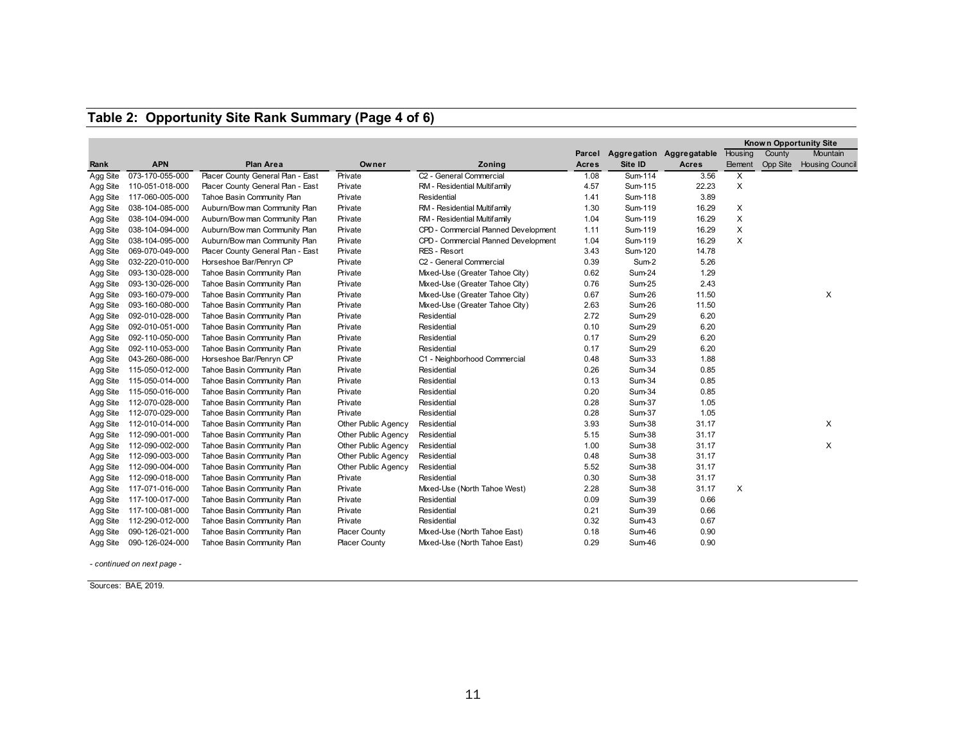# **Table 2: Opportunity Site Rank Summary (Page 4 of 6)**

|          |                          |                                   |                      |                                      |        |          |                          |                |          | <b>Known Opportunity Site</b> |
|----------|--------------------------|-----------------------------------|----------------------|--------------------------------------|--------|----------|--------------------------|----------------|----------|-------------------------------|
|          |                          |                                   |                      |                                      | Parcel |          | Aggregation Aggregatable | Housing        | County   | Mountain                      |
| Rank     | <b>APN</b>               | <b>Plan Area</b>                  | Owner                | Zoning                               | Acres  | Site ID  | <b>Acres</b>             | <b>Element</b> | Opp Site | <b>Housing Council</b>        |
| Agg Site | 073-170-055-000          | Placer County General Plan - East | Private              | C <sub>2</sub> - General Commercial  | 1.08   | Sum-114  | 3.56                     | X              |          |                               |
| Agg Site | 110-051-018-000          | Placer County General Plan - East | Private              | RM - Residential Multifamily         | 4.57   | Sum-115  | 22.23                    | X              |          |                               |
| Agg Site | 117-060-005-000          | Tahoe Basin Community Plan        | Private              | Residential                          | 1.41   | Sum-118  | 3.89                     |                |          |                               |
| Agg Site | 038-104-085-000          | Auburn/Bow man Community Plan     | Private              | RM - Residential Multifamily         | 1.30   | Sum-119  | 16.29                    | X              |          |                               |
| Agg Site | 038-104-094-000          | Auburn/Bow man Community Plan     | Private              | RM - Residential Multifamily         | 1.04   | Sum-119  | 16.29                    |                | X        |                               |
| Agg Site | 038-104-094-000          | Auburn/Bow man Community Plan     | Private              | CPD - Commercial Planned Development | 1.11   | Sum-119  | 16.29                    |                | X        |                               |
| Agg Site | 038-104-095-000          | Auburn/Bow man Community Plan     | Private              | CPD - Commercial Planned Development | 1.04   | Sum-119  | 16.29                    | X              |          |                               |
| Agg Site | 069-070-049-000          | Placer County General Plan - East | Private              | RES - Resort                         | 3.43   | Sum-120  | 14.78                    |                |          |                               |
| Agg Site | 032-220-010-000          | Horseshoe Bar/Penryn CP           | Private              | C <sub>2</sub> - General Commercial  | 0.39   | Sum-2    | 5.26                     |                |          |                               |
| Agg Site | 093-130-028-000          | Tahoe Basin Community Plan        | Private              | Mixed-Use (Greater Tahoe City)       | 0.62   | Sum-24   | 1.29                     |                |          |                               |
| Agg Site | 093-130-026-000          | Tahoe Basin Community Plan        | Private              | Mixed-Use (Greater Tahoe City)       | 0.76   | Sum-25   | 2.43                     |                |          |                               |
| Agg Site | 093-160-079-000          | Tahoe Basin Community Plan        | Private              | Mixed-Use (Greater Tahoe City)       | 0.67   | Sum-26   | 11.50                    |                |          | X                             |
| Agg Site | 093-160-080-000          | Tahoe Basin Community Plan        | Private              | Mixed-Use (Greater Tahoe City)       | 2.63   | Sum-26   | 11.50                    |                |          |                               |
| Agg Site | 092-010-028-000          | Tahoe Basin Community Plan        | Private              | Residential                          | 2.72   | Sum-29   | 6.20                     |                |          |                               |
| Agg Site | 092-010-051-000          | Tahoe Basin Community Plan        | Private              | Residential                          | 0.10   | Sum-29   | 6.20                     |                |          |                               |
| Agg Site | 092-110-050-000          | Tahoe Basin Community Plan        | Private              | Residential                          | 0.17   | Sum-29   | 6.20                     |                |          |                               |
| Agg Site | 092-110-053-000          | Tahoe Basin Community Plan        | Private              | Residential                          | 0.17   | Sum-29   | 6.20                     |                |          |                               |
| Agg Site | 043-260-086-000          | Horseshoe Bar/Penryn CP           | Private              | C1 - Neighborhood Commercial         | 0.48   | Sum-33   | 1.88                     |                |          |                               |
| Agg Site | 115-050-012-000          | Tahoe Basin Community Plan        | Private              | Residential                          | 0.26   | Sum-34   | 0.85                     |                |          |                               |
| Agg Site | 115-050-014-000          | Tahoe Basin Community Plan        | Private              | Residential                          | 0.13   | Sum-34   | 0.85                     |                |          |                               |
| Agg Site | 115-050-016-000          | Tahoe Basin Community Plan        | Private              | Residential                          | 0.20   | Sum-34   | 0.85                     |                |          |                               |
| Agg Site | 112-070-028-000          | Tahoe Basin Community Plan        | Private              | Residential                          | 0.28   | Sum-37   | 1.05                     |                |          |                               |
| Agg Site | 112-070-029-000          | Tahoe Basin Community Plan        | Private              | Residential                          | 0.28   | Sum-37   | 1.05                     |                |          |                               |
| Agg Site | 112-010-014-000          | Tahoe Basin Community Plan        | Other Public Agency  | Residential                          | 3.93   | $Sum-38$ | 31.17                    |                |          | X                             |
| Agg Site | 112-090-001-000          | Tahoe Basin Community Plan        | Other Public Agency  | Residential                          | 5.15   | $Sum-38$ | 31.17                    |                |          |                               |
| Agg Site | 112-090-002-000          | Tahoe Basin Community Plan        | Other Public Agency  | Residential                          | 1.00   | Sum-38   | 31.17                    |                |          | $\times$                      |
| Agg Site | 112-090-003-000          | Tahoe Basin Community Plan        | Other Public Agency  | Residential                          | 0.48   | Sum-38   | 31.17                    |                |          |                               |
| Agg Site | 112-090-004-000          | Tahoe Basin Community Plan        | Other Public Agency  | Residential                          | 5.52   | Sum-38   | 31.17                    |                |          |                               |
| Agg Site | 112-090-018-000          | Tahoe Basin Community Plan        | Private              | Residential                          | 0.30   | Sum-38   | 31.17                    |                |          |                               |
| Agg Site | 117-071-016-000          | Tahoe Basin Community Plan        | Private              | Mixed-Use (North Tahoe West)         | 2.28   | Sum-38   | 31.17                    | X              |          |                               |
| Agg Site | 117-100-017-000          | Tahoe Basin Community Plan        | Private              | Residential                          | 0.09   | Sum-39   | 0.66                     |                |          |                               |
| Agg Site | 117-100-081-000          | Tahoe Basin Community Plan        | Private              | Residential                          | 0.21   | Sum-39   | 0.66                     |                |          |                               |
| Agg Site | 112-290-012-000          | Tahoe Basin Community Plan        | Private              | Residential                          | 0.32   | Sum-43   | 0.67                     |                |          |                               |
| Agg Site | 090-126-021-000          | Tahoe Basin Community Plan        | <b>Placer County</b> | Mixed-Use (North Tahoe East)         | 0.18   | Sum-46   | 0.90                     |                |          |                               |
|          | Agg Site 090-126-024-000 | Tahoe Basin Community Plan        | <b>Placer County</b> | Mixed-Use (North Tahoe East)         | 0.29   | Sum-46   | 0.90                     |                |          |                               |

*- continued on next page -*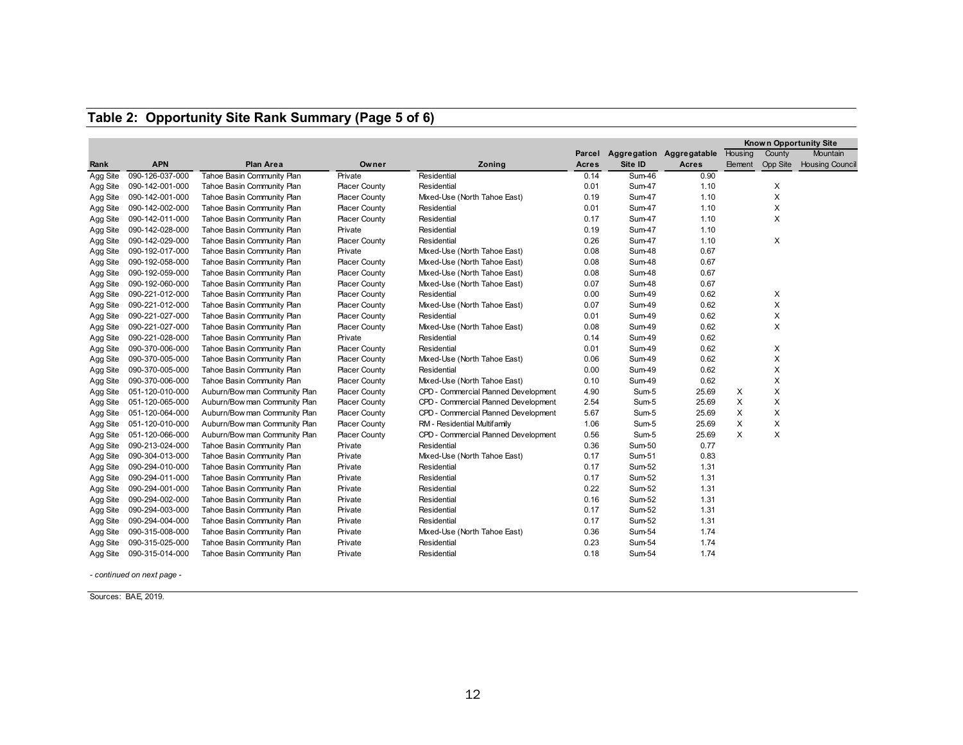|          |                 |                               |                      |                                      |        |               |                          | <b>Known Opportunity Site</b> |                 |                        |
|----------|-----------------|-------------------------------|----------------------|--------------------------------------|--------|---------------|--------------------------|-------------------------------|-----------------|------------------------|
|          |                 |                               |                      |                                      | Parcel |               | Aggregation Aggregatable | Housing                       | County          | <b>Mountain</b>        |
| Rank     | <b>APN</b>      | <b>Plan Area</b>              | Owner                | Zoning                               | Acres  | Site ID       | <b>Acres</b>             | <b>Element</b>                | <b>Opp Site</b> | <b>Housing Council</b> |
| Agg Site | 090-126-037-000 | Tahoe Basin Community Plan    | Private              | Residential                          | 0.14   | Sum-46        | 0.90                     |                               |                 |                        |
| Agg Site | 090-142-001-000 | Tahoe Basin Community Plan    | <b>Placer County</b> | Residential                          | 0.01   | Sum-47        | 1.10                     |                               | X               |                        |
| Agg Site | 090-142-001-000 | Tahoe Basin Community Plan    | <b>Placer County</b> | Mixed-Use (North Tahoe East)         | 0.19   | Sum-47        | 1.10                     |                               | X               |                        |
| Agg Site | 090-142-002-000 | Tahoe Basin Community Plan    | <b>Placer County</b> | Residential                          | 0.01   | Sum-47        | 1.10                     |                               | X               |                        |
| Agg Site | 090-142-011-000 | Tahoe Basin Community Plan    | <b>Placer County</b> | Residential                          | 0.17   | Sum-47        | 1.10                     |                               | $\times$        |                        |
| Agg Site | 090-142-028-000 | Tahoe Basin Community Plan    | Private              | Residential                          | 0.19   | Sum-47        | 1.10                     |                               |                 |                        |
| Agg Site | 090-142-029-000 | Tahoe Basin Community Plan    | <b>Placer County</b> | Residential                          | 0.26   | Sum-47        | 1.10                     |                               | $\times$        |                        |
| Agg Site | 090-192-017-000 | Tahoe Basin Community Plan    | Private              | Mixed-Use (North Tahoe East)         | 0.08   | Sum-48        | 0.67                     |                               |                 |                        |
| Agg Site | 090-192-058-000 | Tahoe Basin Community Plan    | <b>Placer County</b> | Mixed-Use (North Tahoe East)         | 0.08   | Sum-48        | 0.67                     |                               |                 |                        |
| Agg Site | 090-192-059-000 | Tahoe Basin Community Plan    | <b>Placer County</b> | Mixed-Use (North Tahoe East)         | 0.08   | Sum-48        | 0.67                     |                               |                 |                        |
| Agg Site | 090-192-060-000 | Tahoe Basin Community Plan    | <b>Placer County</b> | Mixed-Use (North Tahoe East)         | 0.07   | Sum-48        | 0.67                     |                               |                 |                        |
| Agg Site | 090-221-012-000 | Tahoe Basin Community Plan    | <b>Placer County</b> | Residential                          | 0.00   | Sum-49        | 0.62                     |                               | X               |                        |
| Agg Site | 090-221-012-000 | Tahoe Basin Community Plan    | <b>Placer County</b> | Mixed-Use (North Tahoe East)         | 0.07   | Sum-49        | 0.62                     |                               | $\times$        |                        |
| Agg Site | 090-221-027-000 | Tahoe Basin Community Plan    | <b>Placer County</b> | Residential                          | 0.01   | Sum-49        | 0.62                     |                               | X               |                        |
| Agg Site | 090-221-027-000 | Tahoe Basin Community Plan    | <b>Placer County</b> | Mixed-Use (North Tahoe East)         | 0.08   | Sum-49        | 0.62                     |                               | $\times$        |                        |
| Agg Site | 090-221-028-000 | Tahoe Basin Community Plan    | Private              | Residential                          | 0.14   | <b>Sum-49</b> | 0.62                     |                               |                 |                        |
| Agg Site | 090-370-006-000 | Tahoe Basin Community Plan    | <b>Placer County</b> | Residential                          | 0.01   | Sum-49        | 0.62                     |                               | X               |                        |
| Agg Site | 090-370-005-000 | Tahoe Basin Community Plan    | <b>Placer County</b> | Mixed-Use (North Tahoe East)         | 0.06   | <b>Sum-49</b> | 0.62                     |                               | X               |                        |
| Agg Site | 090-370-005-000 | Tahoe Basin Community Plan    | <b>Placer County</b> | Residential                          | 0.00   | Sum-49        | 0.62                     |                               | X               |                        |
| Agg Site | 090-370-006-000 | Tahoe Basin Community Plan    | <b>Placer County</b> | Mixed-Use (North Tahoe East)         | 0.10   | Sum-49        | 0.62                     |                               | X               |                        |
| Agg Site | 051-120-010-000 | Auburn/Bow man Community Plan | <b>Placer County</b> | CPD - Commercial Planned Development | 4.90   | Sum-5         | 25.69                    | X                             | $\times$        |                        |
| Agg Site | 051-120-065-000 | Auburn/Bow man Community Plan | <b>Placer County</b> | CPD - Commercial Planned Development | 2.54   | Sum-5         | 25.69                    | X                             | X               |                        |
| Agg Site | 051-120-064-000 | Auburn/Bow man Community Plan | <b>Placer County</b> | CPD - Commercial Planned Development | 5.67   | Sum-5         | 25.69                    | X                             | X               |                        |
| Agg Site | 051-120-010-000 | Auburn/Bow man Community Plan | <b>Placer County</b> | RM - Residential Multifamily         | 1.06   | Sum-5         | 25.69                    | X                             | X               |                        |
| Agg Site | 051-120-066-000 | Auburn/Bow man Community Plan | <b>Placer County</b> | CPD - Commercial Planned Development | 0.56   | Sum-5         | 25.69                    | X                             | $\times$        |                        |
| Agg Site | 090-213-024-000 | Tahoe Basin Community Plan    | Private              | Residential                          | 0.36   | Sum-50        | 0.77                     |                               |                 |                        |
| Agg Site | 090-304-013-000 | Tahoe Basin Community Plan    | Private              | Mixed-Use (North Tahoe East)         | 0.17   | Sum-51        | 0.83                     |                               |                 |                        |
| Agg Site | 090-294-010-000 | Tahoe Basin Community Plan    | Private              | Residential                          | 0.17   | Sum-52        | 1.31                     |                               |                 |                        |
| Agg Site | 090-294-011-000 | Tahoe Basin Community Plan    | Private              | Residential                          | 0.17   | Sum-52        | 1.31                     |                               |                 |                        |
| Agg Site | 090-294-001-000 | Tahoe Basin Community Plan    | Private              | Residential                          | 0.22   | Sum-52        | 1.31                     |                               |                 |                        |
| Agg Site | 090-294-002-000 | Tahoe Basin Community Plan    | Private              | Residential                          | 0.16   | Sum-52        | 1.31                     |                               |                 |                        |
| Agg Site | 090-294-003-000 | Tahoe Basin Community Plan    | Private              | Residential                          | 0.17   | Sum-52        | 1.31                     |                               |                 |                        |
| Agg Site | 090-294-004-000 | Tahoe Basin Community Plan    | Private              | Residential                          | 0.17   | Sum-52        | 1.31                     |                               |                 |                        |
| Agg Site | 090-315-008-000 | Tahoe Basin Community Plan    | Private              | Mixed-Use (North Tahoe East)         | 0.36   | Sum-54        | 1.74                     |                               |                 |                        |
| Agg Site | 090-315-025-000 | Tahoe Basin Community Plan    | Private              | Residential                          | 0.23   | Sum-54        | 1.74                     |                               |                 |                        |
| Agg Site | 090-315-014-000 | Tahoe Basin Community Plan    | Private              | Residential                          | 0.18   | Sum-54        | 1.74                     |                               |                 |                        |

*- continued on next page -*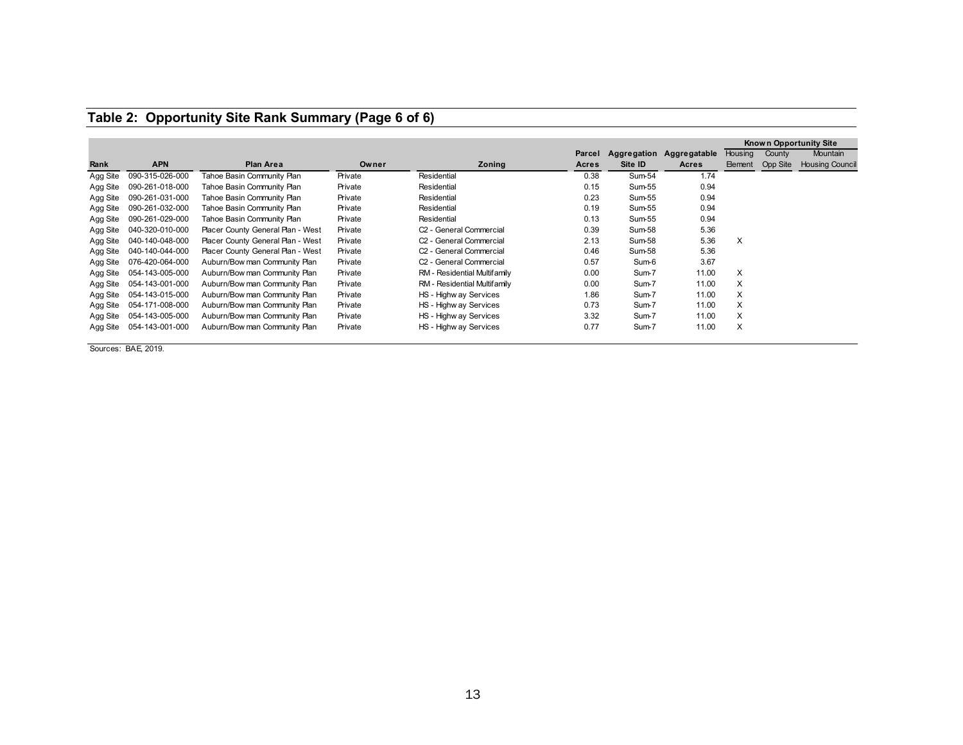| Table 2: Opportunity Site Rank Summary (Page 6 of 6) |  |
|------------------------------------------------------|--|
|------------------------------------------------------|--|

|          |                 |                                   |         |                                     |              |         |                          |                |                 | Known Opportunity Site |
|----------|-----------------|-----------------------------------|---------|-------------------------------------|--------------|---------|--------------------------|----------------|-----------------|------------------------|
|          |                 |                                   |         |                                     | Parcel       |         | Aggregation Aggregatable | Housing        | County          | Mountain               |
| Rank     | <b>APN</b>      | <b>Plan Area</b>                  | Owner   | Zoning                              | <b>Acres</b> | Site ID | Acres                    | <b>Element</b> | <b>Opp Site</b> | <b>Housing Council</b> |
| Agg Site | 090-315-026-000 | Tahoe Basin Community Plan        | Private | Residential                         | 0.38         | Sum-54  | 1.74                     |                |                 |                        |
| Agg Site | 090-261-018-000 | Tahoe Basin Community Plan        | Private | Residential                         | 0.15         | Sum-55  | 0.94                     |                |                 |                        |
| Agg Site | 090-261-031-000 | Tahoe Basin Community Plan        | Private | Residential                         | 0.23         | Sum-55  | 0.94                     |                |                 |                        |
| Agg Site | 090-261-032-000 | Tahoe Basin Community Plan        | Private | Residential                         | 0.19         | Sum-55  | 0.94                     |                |                 |                        |
| Agg Site | 090-261-029-000 | Tahoe Basin Community Plan        | Private | Residential                         | 0.13         | Sum-55  | 0.94                     |                |                 |                        |
| Agg Site | 040-320-010-000 | Placer County General Plan - West | Private | C <sub>2</sub> - General Commercial | 0.39         | Sum-58  | 5.36                     |                |                 |                        |
| Agg Site | 040-140-048-000 | Placer County General Plan - West | Private | C <sub>2</sub> - General Commercial | 2.13         | Sum-58  | 5.36                     | X              |                 |                        |
| Agg Site | 040-140-044-000 | Placer County General Plan - West | Private | C <sub>2</sub> - General Commercial | 0.46         | Sum-58  | 5.36                     |                |                 |                        |
| Agg Site | 076-420-064-000 | Auburn/Bow man Community Plan     | Private | C <sub>2</sub> - General Commercial | 0.57         | Sum-6   | 3.67                     |                |                 |                        |
| Agg Site | 054-143-005-000 | Auburn/Bow man Community Plan     | Private | RM - Residential Multifamily        | 0.00         | Sum-7   | 11.00                    | X              |                 |                        |
| Agg Site | 054-143-001-000 | Auburn/Bow man Community Plan     | Private | RM - Residential Multifamily        | 0.00         | Sum-7   | 11.00                    | X              |                 |                        |
| Agg Site | 054-143-015-000 | Auburn/Bow man Community Plan     | Private | HS - Highw ay Services              | 1.86         | Sum-7   | 11.00                    | X              |                 |                        |
| Agg Site | 054-171-008-000 | Auburn/Bow man Community Plan     | Private | HS - Highw ay Services              | 0.73         | Sum-7   | 11.00                    | X              |                 |                        |
| Agg Site | 054-143-005-000 | Auburn/Bow man Community Plan     | Private | HS - Highw ay Services              | 3.32         | Sum-7   | 11.00                    | X              |                 |                        |
| Agg Site | 054-143-001-000 | Auburn/Bow man Community Plan     | Private | HS - Highw ay Services              | 0.77         | Sum-7   | 11.00                    | X              |                 |                        |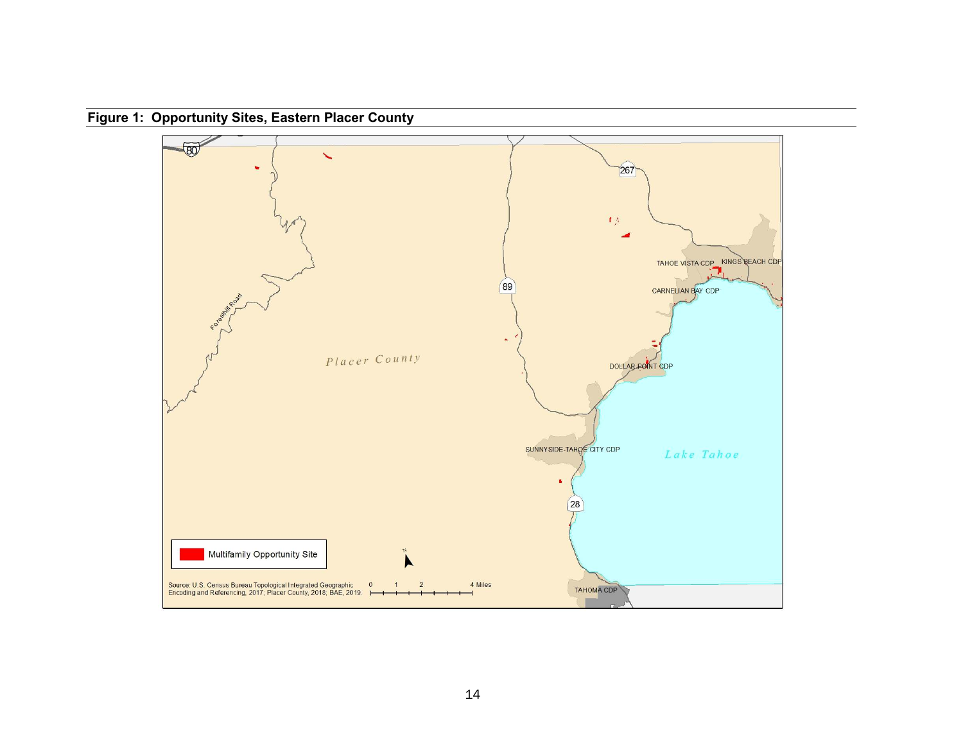**Figure 1: Opportunity Sites, Eastern Placer County**

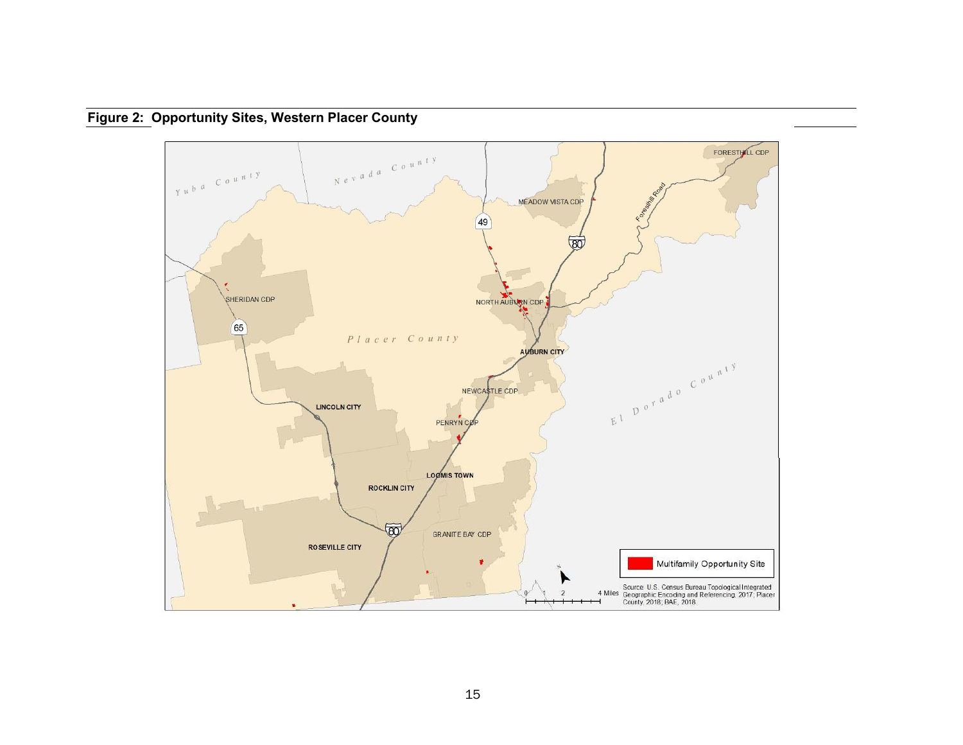

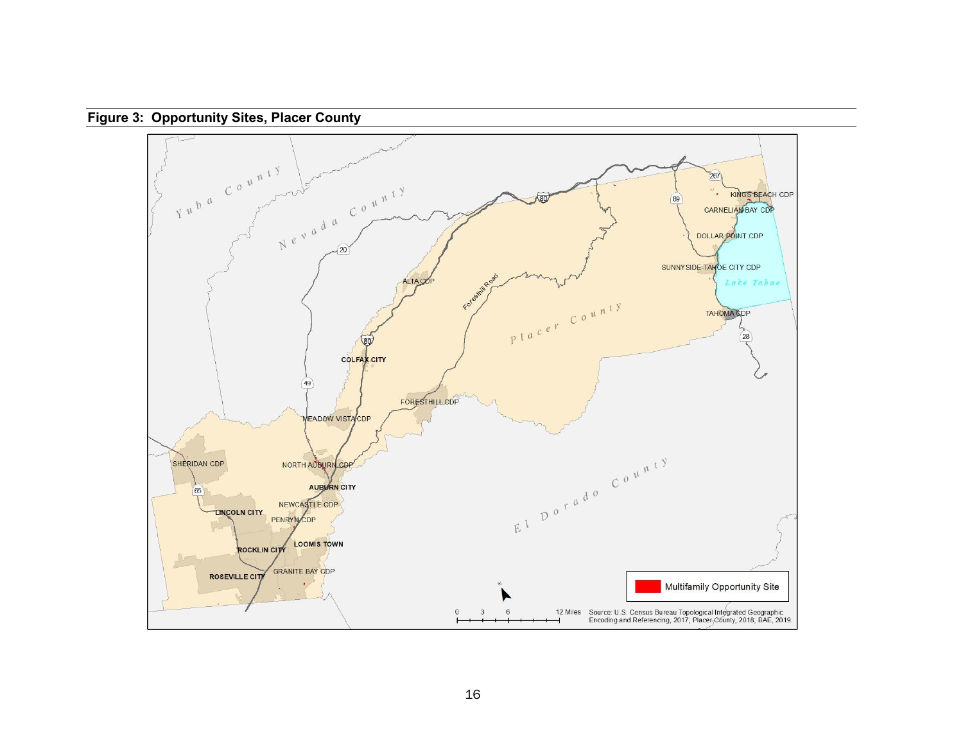

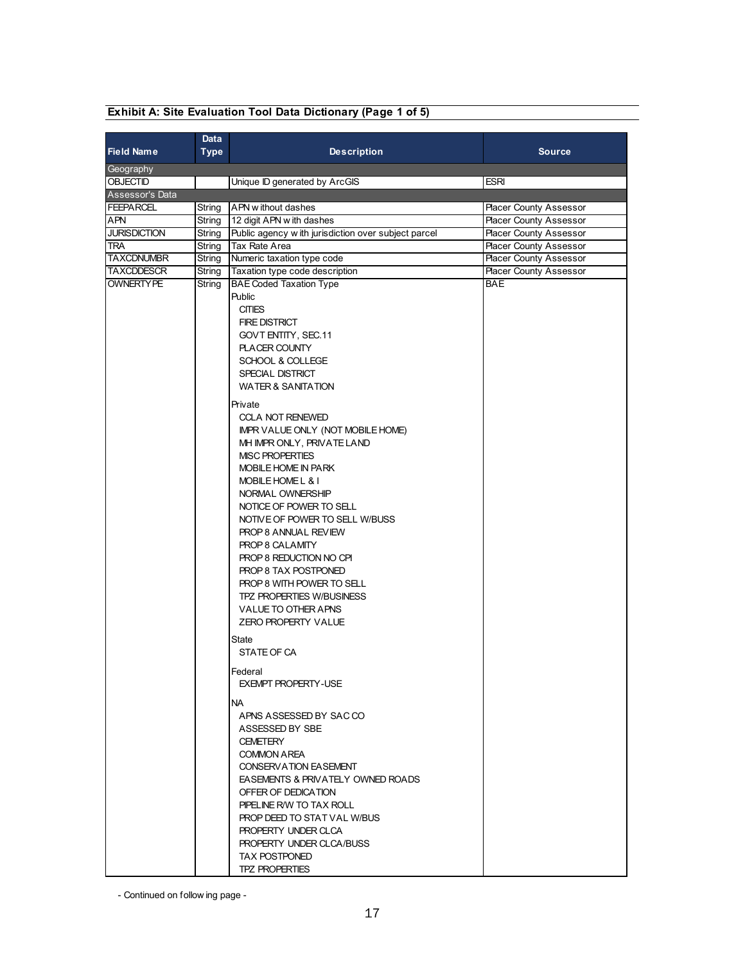|                     | Data        |                                                     |                               |
|---------------------|-------------|-----------------------------------------------------|-------------------------------|
| <b>Field Name</b>   | <b>Type</b> | <b>Description</b>                                  | <b>Source</b>                 |
| Geography           |             |                                                     |                               |
| <b>OBJECTID</b>     |             | Unique ID generated by ArcGIS                       | <b>ESRI</b>                   |
| Assessor's Data     |             |                                                     |                               |
| <b>FEEPARCEL</b>    | String      | APN w ithout dashes                                 | <b>Placer County Assessor</b> |
| APN                 | String      | 12 digit APN with dashes                            | <b>Placer County Assessor</b> |
| <b>JURISDICTION</b> | String      | Public agency with jurisdiction over subject parcel | <b>Placer County Assessor</b> |
| TRA                 | String      | Tax Rate Area                                       | <b>Placer County Assessor</b> |
| <b>TAXCDNUMBR</b>   | String      | Numeric taxation type code                          | <b>Placer County Assessor</b> |
| <b>TAXCDDESCR</b>   | String      | Taxation type code description                      | <b>Placer County Assessor</b> |
| <b>OWNERTY PE</b>   | String      | <b>BAE Coded Taxation Type</b>                      | <b>BAE</b>                    |
|                     |             | Public                                              |                               |
|                     |             | <b>CITIES</b>                                       |                               |
|                     |             | <b>FIRE DISTRICT</b>                                |                               |
|                     |             | GOVT ENTITY, SEC.11                                 |                               |
|                     |             | <b>PLACER COUNTY</b>                                |                               |
|                     |             | SCHOOL & COLLEGE                                    |                               |
|                     |             | SPECIAL DISTRICT                                    |                               |
|                     |             | <b>WATER &amp; SANITATION</b>                       |                               |
|                     |             | Private                                             |                               |
|                     |             | <b>CCLA NOT RENEWED</b>                             |                               |
|                     |             | IMPR VALUE ONLY (NOT MOBILE HOME)                   |                               |
|                     |             | MH IMPR ONLY, PRIVATE LAND                          |                               |
|                     |             | <b>MISC PROPERTIES</b>                              |                               |
|                     |             | <b>MOBILE HOME IN PARK</b>                          |                               |
|                     |             | MOBILE HOME L & I                                   |                               |
|                     |             | NORMAL OWNERSHIP                                    |                               |
|                     |             | NOTICE OF POWER TO SELL                             |                               |
|                     |             | NOTIVE OF POWER TO SELL W/BUSS                      |                               |
|                     |             | PROP 8 ANNUAL REVIEW<br>PROP 8 CALAMITY             |                               |
|                     |             | PROP 8 REDUCTION NO CPI                             |                               |
|                     |             | PROP 8 TAX POSTPONED                                |                               |
|                     |             | PROP 8 WITH POWER TO SELL                           |                               |
|                     |             | TPZ PROPERTIES W/BUSINESS                           |                               |
|                     |             | VALUE TO OTHER APNS                                 |                               |
|                     |             | <b>ZERO PROPERTY VALUE</b>                          |                               |
|                     |             |                                                     |                               |
|                     |             | <b>State</b>                                        |                               |
|                     |             | STATE OF CA                                         |                               |
|                     |             | Federal                                             |                               |
|                     |             | <b>EXEMPT PROPERTY-USE</b>                          |                               |
|                     |             | NA.                                                 |                               |
|                     |             | APNS ASSESSED BY SACCO                              |                               |
|                     |             | ASSESSED BY SBE                                     |                               |
|                     |             | <b>CEMETERY</b>                                     |                               |
|                     |             | <b>COMMON AREA</b>                                  |                               |
|                     |             | CONSERVATION EASEMENT                               |                               |
|                     |             | <b>EASEMENTS &amp; PRIVATELY OWNED ROADS</b>        |                               |
|                     |             | OFFER OF DEDICATION                                 |                               |
|                     |             | PIPELINE R/W TO TAX ROLL                            |                               |
|                     |             | <b>PROP DEED TO STAT VAL W/BUS</b>                  |                               |
|                     |             | PROPERTY UNDER CLCA                                 |                               |
|                     |             | PROPERTY UNDER CLCA/BUSS                            |                               |
|                     |             | <b>TAX POSTPONED</b>                                |                               |
|                     |             | <b>TPZ PROPERTIES</b>                               |                               |

# **Exhibit A: Site Evaluation Tool Data Dictionary (Page 1 of 5)**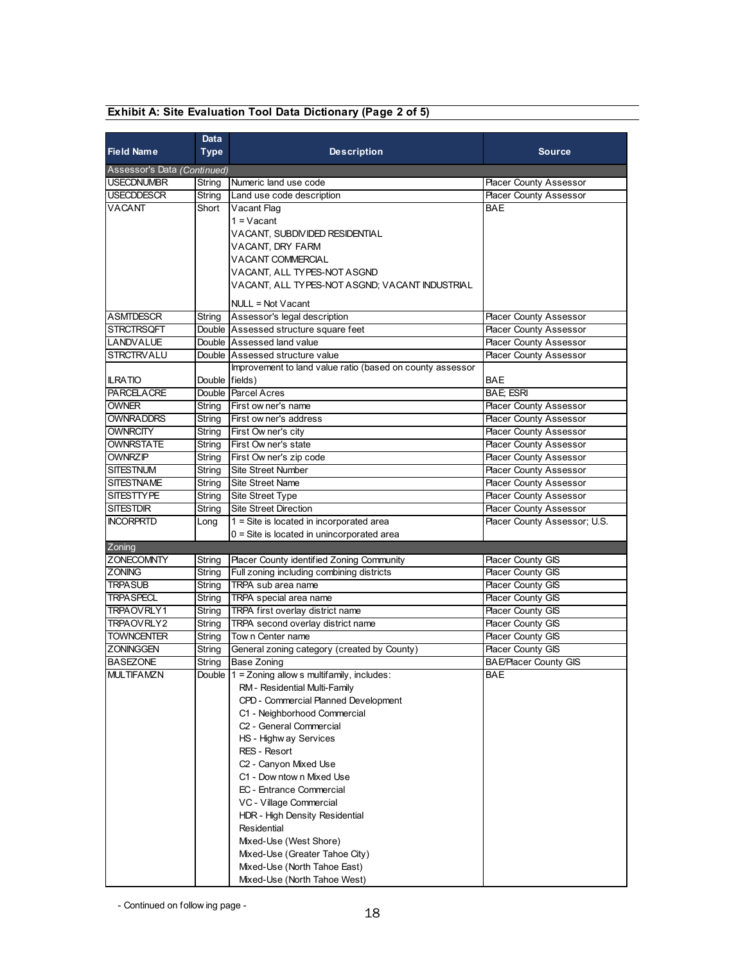| Data                        |        |                                                           |                               |  |  |  |
|-----------------------------|--------|-----------------------------------------------------------|-------------------------------|--|--|--|
| <b>Field Name</b>           | Type   | <b>Description</b>                                        | <b>Source</b>                 |  |  |  |
| Assessor's Data (Continued) |        |                                                           |                               |  |  |  |
| <b>USECDNUMBR</b>           | String | Numeric land use code                                     | <b>Placer County Assessor</b> |  |  |  |
| <b>USECDDESCR</b>           | String | Land use code description                                 | <b>Placer County Assessor</b> |  |  |  |
| <b>VACANT</b>               | Short  | Vacant Flag                                               | <b>BAF</b>                    |  |  |  |
|                             |        | $1 = Vacant$                                              |                               |  |  |  |
|                             |        | VACANT, SUBDIVIDED RESIDENTIAL                            |                               |  |  |  |
|                             |        | VACANT, DRY FARM                                          |                               |  |  |  |
|                             |        | VACANT COMMERCIAL                                         |                               |  |  |  |
|                             |        | VACANT, ALL TYPES-NOT ASGND                               |                               |  |  |  |
|                             |        | VACANT, ALL TYPES-NOT ASGND; VACANT INDUSTRIAL            |                               |  |  |  |
|                             |        |                                                           |                               |  |  |  |
|                             |        | NULL = Not Vacant                                         |                               |  |  |  |
| <b>ASMTDESCR</b>            | String | Assessor's legal description                              | <b>Placer County Assessor</b> |  |  |  |
| <b>STRCTRSQFT</b>           |        | Double Assessed structure square feet                     | <b>Placer County Assessor</b> |  |  |  |
| LANDVALUE                   |        | Double Assessed land value                                | <b>Placer County Assessor</b> |  |  |  |
| <b>STRCTRVALU</b>           | Double | Assessed structure value                                  | <b>Placer County Assessor</b> |  |  |  |
|                             |        | Improvement to land value ratio (based on county assessor |                               |  |  |  |
| <b>ILRATIO</b>              | Double | fields)                                                   | BAE                           |  |  |  |
| <b>PARCELACRE</b>           |        | Double Parcel Acres                                       | <b>BAE; ESRI</b>              |  |  |  |
| OWNER                       | String | First ow ner's name                                       | <b>Placer County Assessor</b> |  |  |  |
| <b>OWNRADDRS</b>            | String | First ow ner's address                                    | <b>Placer County Assessor</b> |  |  |  |
| OWNRCITY                    | String | First Ow ner's city                                       | <b>Placer County Assessor</b> |  |  |  |
| OWNRSTATE                   | String | First Ow ner's state                                      | <b>Placer County Assessor</b> |  |  |  |
| OWNRZIP                     | String | First Ow ner's zip code                                   | <b>Placer County Assessor</b> |  |  |  |
| <b>SITESTNUM</b>            | String | <b>Site Street Number</b>                                 | <b>Placer County Assessor</b> |  |  |  |
| <b>SITESTNAME</b>           | String | <b>Site Street Name</b>                                   | <b>Placer County Assessor</b> |  |  |  |
| <b>SITESTTYPE</b>           | String | Site Street Type                                          | <b>Placer County Assessor</b> |  |  |  |
| <b>SITESTDIR</b>            | String | <b>Site Street Direction</b>                              | <b>Placer County Assessor</b> |  |  |  |
| <b>INCORPRTD</b>            | Long   | 1 = Site is located in incorporated area                  | Placer County Assessor; U.S.  |  |  |  |
|                             |        | 0 = Site is located in unincorporated area                |                               |  |  |  |
| Zoning<br><b>ZONECOMNTY</b> | String | Placer County identified Zoning Community                 | Placer County GIS             |  |  |  |
| <b>ZONING</b>               | String | Full zoning including combining districts                 | Placer County GIS             |  |  |  |
| TRPASUB                     | String | TRPA sub area name                                        | Placer County GIS             |  |  |  |
| <b>TRPASPECL</b>            | String | TRPA special area name                                    | Placer County GIS             |  |  |  |
| TRPAOVRLY1                  | String | TRPA first overlay district name                          | <b>Placer County GIS</b>      |  |  |  |
| TRPAOVRLY2                  | String | TRPA second overlay district name                         | Placer County GIS             |  |  |  |
| <b>TOWNCENTER</b>           | String | Tow n Center name                                         | Placer County GIS             |  |  |  |
| ZONINGGEN                   | String | General zoning category (created by County)               | <b>Placer County GIS</b>      |  |  |  |
| <b>BASEZONE</b>             | String | Base Zoning                                               | <b>BAE/Placer County GIS</b>  |  |  |  |
| <b>MULTIFAMZN</b>           |        | Double 1 = Zoning allow s multifamily, includes:          | BAE                           |  |  |  |
|                             |        | RM - Residential Multi-Family                             |                               |  |  |  |
|                             |        | CPD - Commercial Planned Development                      |                               |  |  |  |
|                             |        | C1 - Neighborhood Commercial                              |                               |  |  |  |
|                             |        | C <sub>2</sub> - General Commercial                       |                               |  |  |  |
|                             |        | HS - Highw ay Services                                    |                               |  |  |  |
|                             |        | RES - Resort                                              |                               |  |  |  |
|                             |        | C2 - Canyon Mixed Use                                     |                               |  |  |  |
|                             |        | C1 - Dow ntow n Mixed Use                                 |                               |  |  |  |
|                             |        | EC - Entrance Commercial                                  |                               |  |  |  |
|                             |        | VC - Village Commercial                                   |                               |  |  |  |
|                             |        | HDR - High Density Residential                            |                               |  |  |  |
|                             |        | Residential                                               |                               |  |  |  |
|                             |        | Mixed-Use (West Shore)                                    |                               |  |  |  |
|                             |        | Mixed-Use (Greater Tahoe City)                            |                               |  |  |  |
|                             |        | Mixed-Use (North Tahoe East)                              |                               |  |  |  |
|                             |        | Mixed-Use (North Tahoe West)                              |                               |  |  |  |

# **Exhibit A: Site Evaluation Tool Data Dictionary (Page 2 of 5)**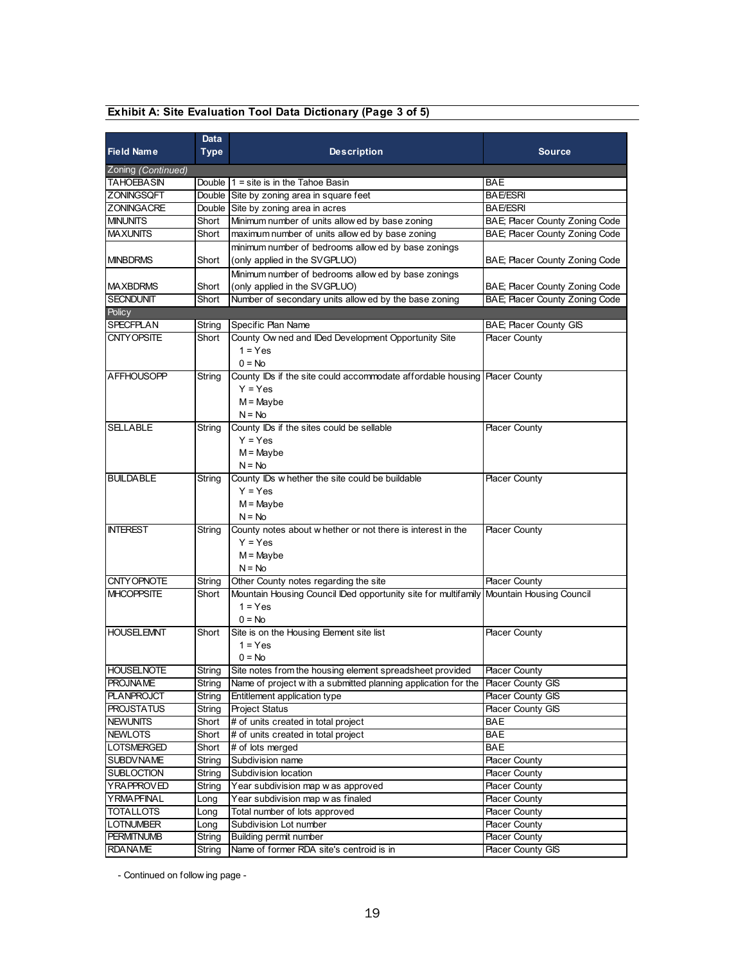| Exhibit A: Site Evaluation Tool Data Dictionary (Page 3 of 5) |  |  |  |  |  |  |  |  |  |
|---------------------------------------------------------------|--|--|--|--|--|--|--|--|--|
|---------------------------------------------------------------|--|--|--|--|--|--|--|--|--|

|                                  | Data   |                                                                                                      |                                |
|----------------------------------|--------|------------------------------------------------------------------------------------------------------|--------------------------------|
| <b>Field Name</b>                | Type   | <b>Description</b>                                                                                   | <b>Source</b>                  |
| Zoning (Continued)               |        |                                                                                                      |                                |
| TAHOEBASIN                       |        | Double $1 =$ site is in the Tahoe Basin                                                              | <b>BAE</b>                     |
| <b>ZONINGSQFT</b>                |        | Double Site by zoning area in square feet                                                            | <b>BAE/ESRI</b>                |
| <b>ZONINGACRE</b>                |        | Double Site by zoning area in acres                                                                  | <b>BAE/ESRI</b>                |
| <b>MINUNITS</b>                  | Short  | Minimum number of units allow ed by base zoning                                                      | BAE; Placer County Zoning Code |
| <b>MAXUNITS</b>                  | Short  | maximum number of units allow ed by base zoning                                                      | BAE; Placer County Zoning Code |
|                                  |        | minimum number of bedrooms allow ed by base zonings                                                  |                                |
| <b>MINBDRMS</b>                  | Short  | (only applied in the SVGPLUO)                                                                        | BAE; Placer County Zoning Code |
|                                  |        | Minimum number of bedrooms allow ed by base zonings                                                  |                                |
| <b>MAXBDRMS</b>                  | Short  | (only applied in the SVGPLUO)                                                                        | BAE; Placer County Zoning Code |
| <b>SECNDUNIT</b>                 | Short  | Number of secondary units allow ed by the base zoning                                                | BAE; Placer County Zoning Code |
| <b>Policy</b>                    |        |                                                                                                      |                                |
| <b>SPECFPLAN</b>                 | String | Specific Plan Name                                                                                   | BAE; Placer County GIS         |
| CNTY OPSITE                      | Short  | County Ow ned and IDed Development Opportunity Site                                                  | <b>Placer County</b>           |
|                                  |        | $1 = Yes$                                                                                            |                                |
|                                  |        | $0 = No$                                                                                             |                                |
| <b>AFFHOUSOPP</b>                | String | County IDs if the site could accommodate affordable housing   Placer County                          |                                |
|                                  |        | $Y = Yes$                                                                                            |                                |
|                                  |        | $M =$ Maybe                                                                                          |                                |
|                                  |        | $N = No$                                                                                             |                                |
| <b>SELLABLE</b>                  | String | County IDs if the sites could be sellable                                                            | <b>Placer County</b>           |
|                                  |        | $Y = Yes$                                                                                            |                                |
|                                  |        | $M =$ Maybe                                                                                          |                                |
|                                  |        | $N = No$                                                                                             |                                |
| <b>BUILDABLE</b>                 | String | County IDs w hether the site could be buildable                                                      | <b>Placer County</b>           |
|                                  |        | $Y = Yes$                                                                                            |                                |
|                                  |        | $M =$ Maybe                                                                                          |                                |
|                                  |        | $N = No$                                                                                             |                                |
| <b>INTEREST</b>                  | String | County notes about w hether or not there is interest in the                                          | <b>Placer County</b>           |
|                                  |        | $Y = Yes$                                                                                            |                                |
|                                  |        | $M =$ Maybe                                                                                          |                                |
|                                  |        | $N = No$                                                                                             |                                |
| CNTY OPNOTE<br><b>MHCOPPSITE</b> | String | Other County notes regarding the site                                                                | <b>Placer County</b>           |
|                                  | Short  | Mountain Housing Council IDed opportunity site for multifamily Mountain Housing Council<br>$1 = Yes$ |                                |
|                                  |        | $0 = No$                                                                                             |                                |
| <b>HOUSELEMNT</b>                | Short  | Site is on the Housing Element site list                                                             | <b>Placer County</b>           |
|                                  |        | $1 = Y$ es                                                                                           |                                |
|                                  |        | $0 = No$                                                                                             |                                |
| <b>HOUSELNOTE</b>                | String | Site notes from the housing element spreadsheet provided                                             | <b>Placer County</b>           |
| <b>PROJNAME</b>                  | String | Name of project with a submitted planning application for the                                        | <b>Placer County GIS</b>       |
| <b>PLANPROJCT</b>                | String | Entitlement application type                                                                         | Placer County GIS              |
| <b>PROJSTATUS</b>                | String | Project Status                                                                                       | <b>Placer County GIS</b>       |
| <b>NEWUNITS</b>                  | Short  | # of units created in total project                                                                  | BAE                            |
| <b>NEWLOTS</b>                   | Short  | # of units created in total project                                                                  | <b>BAE</b>                     |
| <b>LOTSMERGED</b>                | Short  | # of lots merged                                                                                     | BAE                            |
| <b>SUBDV NAME</b>                | String | Subdivision name                                                                                     | <b>Placer County</b>           |
| <b>SUBLOCTION</b>                | String | Subdivision location                                                                                 | <b>Placer County</b>           |
| <b>YRAPPROVED</b>                | String | Year subdivision map w as approved                                                                   | <b>Placer County</b>           |
| <b>YRMAPFINAL</b>                | Long   | Year subdivision map w as finaled                                                                    | <b>Placer County</b>           |
| <b>TOTALLOTS</b>                 | Long   | Total number of lots approved                                                                        | <b>Placer County</b>           |
| <b>LOTNUMBER</b>                 | Long   | Subdivision Lot number                                                                               | <b>Placer County</b>           |
| <b>PERMITNUMB</b>                | String | Building permit number                                                                               | <b>Placer County</b>           |
| <b>RDANAME</b>                   | String | Name of former RDA site's centroid is in                                                             | Placer County GIS              |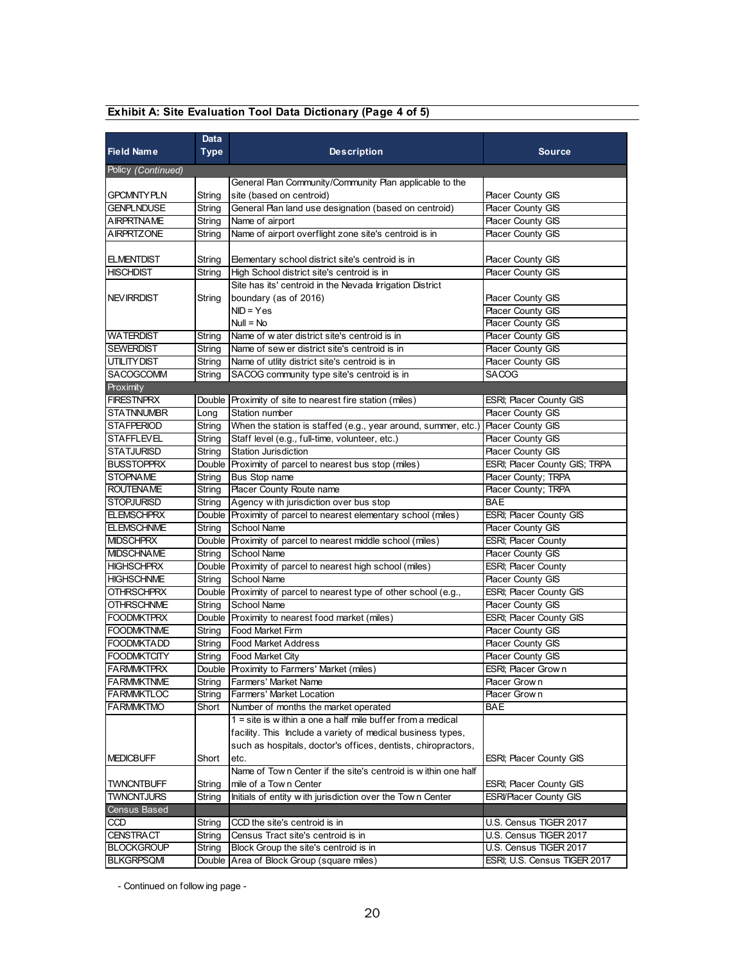|                                        | Data          |                                                                                |                                                         |  |  |
|----------------------------------------|---------------|--------------------------------------------------------------------------------|---------------------------------------------------------|--|--|
| <b>Field Name</b>                      | <b>Type</b>   | <b>Description</b>                                                             | <b>Source</b>                                           |  |  |
| Policy (Continued)                     |               |                                                                                |                                                         |  |  |
|                                        |               | General Plan Community/Community Plan applicable to the                        |                                                         |  |  |
| <b>GPCMNTYPLN</b>                      | String        | site (based on centroid)                                                       | <b>Placer County GIS</b>                                |  |  |
| <b>GENPLNDUSE</b>                      | String        | General Plan land use designation (based on centroid)                          | Placer County GIS                                       |  |  |
| <b>AIRPRTNAME</b>                      | String        | Name of airport                                                                | Placer County GIS                                       |  |  |
| AIRPRTZONE                             | String        | Name of airport overflight zone site's centroid is in                          | Placer County GIS                                       |  |  |
|                                        |               |                                                                                |                                                         |  |  |
| <b>ELMENTDIST</b>                      | String        | Elementary school district site's centroid is in                               | <b>Placer County GIS</b>                                |  |  |
| <b>HISCHDIST</b>                       | String        | High School district site's centroid is in                                     | <b>Placer County GIS</b>                                |  |  |
|                                        |               | Site has its' centroid in the Nevada Irrigation District                       |                                                         |  |  |
| <b>NEV IRRDIST</b>                     | String        | boundary (as of 2016)                                                          | Placer County GIS                                       |  |  |
|                                        |               | $NID = Yes$                                                                    | Placer County GIS                                       |  |  |
|                                        |               | $Null = No$                                                                    | Placer County GIS                                       |  |  |
| WATERDIST                              | String        | Name of w ater district site's centroid is in                                  | <b>Placer County GIS</b>                                |  |  |
| <b>SEWERDIST</b>                       | String        | Name of sew er district site's centroid is in                                  | Placer County GIS                                       |  |  |
| UTILITYDIST                            | String        | Name of utlity district site's centroid is in                                  | Placer County GIS                                       |  |  |
| SACOGCOMM                              | String        | SACOG community type site's centroid is in                                     | <b>SACOG</b>                                            |  |  |
| Proximity                              |               |                                                                                |                                                         |  |  |
| <b>FIRESTNPRX</b>                      |               | Double Proximity of site to nearest fire station (miles)                       | <b>ESRI: Placer County GIS</b>                          |  |  |
| <b>STATNNUMBR</b>                      | Long          | Station number                                                                 | <b>Placer County GIS</b>                                |  |  |
| <b>STAFPERIOD</b>                      | String        | When the station is staffed (e.g., year around, summer, etc.)                  | Placer County GIS                                       |  |  |
| <b>STAFFLEVEL</b>                      | String        | Staff level (e.g., full-time, volunteer, etc.)                                 | <b>Placer County GIS</b>                                |  |  |
| <b>STATJURISD</b>                      | String        | <b>Station Jurisdiction</b>                                                    | Placer County GIS                                       |  |  |
| <b>BUSSTOPPRX</b>                      | Double        | Proximity of parcel to nearest bus stop (miles)                                | ESRI; Placer County GIS; TRPA                           |  |  |
| <b>STOPNAME</b>                        | String        | Bus Stop name                                                                  | Placer County; TRPA                                     |  |  |
| <b>ROUTENAME</b>                       | String        | Placer County Route name                                                       | Placer County; TRPA                                     |  |  |
| <b>STOPJURISD</b>                      | String        | Agency with jurisdiction over bus stop                                         | <b>BAE</b>                                              |  |  |
| <b>ELEMSCHPRX</b><br><b>ELEMSCHNME</b> |               | Double Proximity of parcel to nearest elementary school (miles)<br>School Name | ESRI; Placer County GIS                                 |  |  |
| <b>MIDSCHPRX</b>                       | String        | Double Proximity of parcel to nearest middle school (miles)                    | <b>Placer County GIS</b><br><b>ESRI</b> ; Placer County |  |  |
| <b>MIDSCHNAME</b>                      | String        | School Name                                                                    | Placer County GIS                                       |  |  |
| <b>HIGHSCHPRX</b>                      |               | Double Proximity of parcel to nearest high school (miles)                      | <b>ESRI</b> ; Placer County                             |  |  |
| <b>HIGHSCHNME</b>                      | String        | <b>School Name</b>                                                             | Placer County GIS                                       |  |  |
| OTHRSCHPRX                             |               | Double Proximity of parcel to nearest type of other school (e.g.,              | ESRI; Placer County GIS                                 |  |  |
| <b>OTHRSCHNME</b>                      | String        | <b>School Name</b>                                                             | Placer County GIS                                       |  |  |
| <b>FOODMKTPRX</b>                      |               | Double Proximity to nearest food market (miles)                                | ESRI; Placer County GIS                                 |  |  |
| <b>FOODMKTNME</b>                      | String        | Food Market Firm                                                               | <b>Placer County GIS</b>                                |  |  |
| <b>FOODMKTADD</b>                      | String        | <b>Food Market Address</b>                                                     | <b>Placer County GIS</b>                                |  |  |
| <b>FOODMKTCITY</b>                     | <b>String</b> | <b>Food Market City</b>                                                        | Placer County GIS                                       |  |  |
| <b>FARMMKTPRX</b>                      |               | Double Proximity to Farmers' Market (miles)                                    | ESRI; Placer Grown                                      |  |  |
| <b>FARMMKTNME</b>                      | String        | Farmers' Market Name                                                           | Placer Grown                                            |  |  |
| <b>FARMMKTLOC</b>                      | String        | Farmers' Market Location                                                       | Placer Grown                                            |  |  |
| <b>FARMMKTMO</b>                       | Short         | Number of months the market operated                                           | <b>BAE</b>                                              |  |  |
|                                        |               | $1 =$ site is within a one a half mile buffer from a medical                   |                                                         |  |  |
|                                        |               | facility. This Include a variety of medical business types,                    |                                                         |  |  |
|                                        |               | such as hospitals, doctor's offices, dentists, chiropractors,                  |                                                         |  |  |
| <b>MEDICBUFF</b>                       | Short         | etc.                                                                           | ESRI; Placer County GIS                                 |  |  |
|                                        |               | Name of Town Center if the site's centroid is within one half                  |                                                         |  |  |
| TWNCNTBUFF                             | String        | mile of a Town Center                                                          | ESRI; Placer County GIS                                 |  |  |
| <b>TWNCNTJURS</b>                      | String        | Initials of entity with jurisdiction over the Town Center                      | <b>ESRI/Placer County GIS</b>                           |  |  |
| <b>Census Based</b>                    |               |                                                                                |                                                         |  |  |
| CCD                                    | String        | CCD the site's centroid is in                                                  | U.S. Census TIGER 2017                                  |  |  |
| <b>CENSTRACT</b>                       | String        | Census Tract site's centroid is in                                             | U.S. Census TIGER 2017                                  |  |  |
| <b>BLOCKGROUP</b>                      | String        | Block Group the site's centroid is in                                          | U.S. Census TIGER 2017                                  |  |  |
| <b>BLKGRPSQMI</b>                      |               | Double Area of Block Group (square miles)                                      | ESRI; U.S. Census TIGER 2017                            |  |  |

## **Exhibit A: Site Evaluation Tool Data Dictionary (Page 4 of 5)**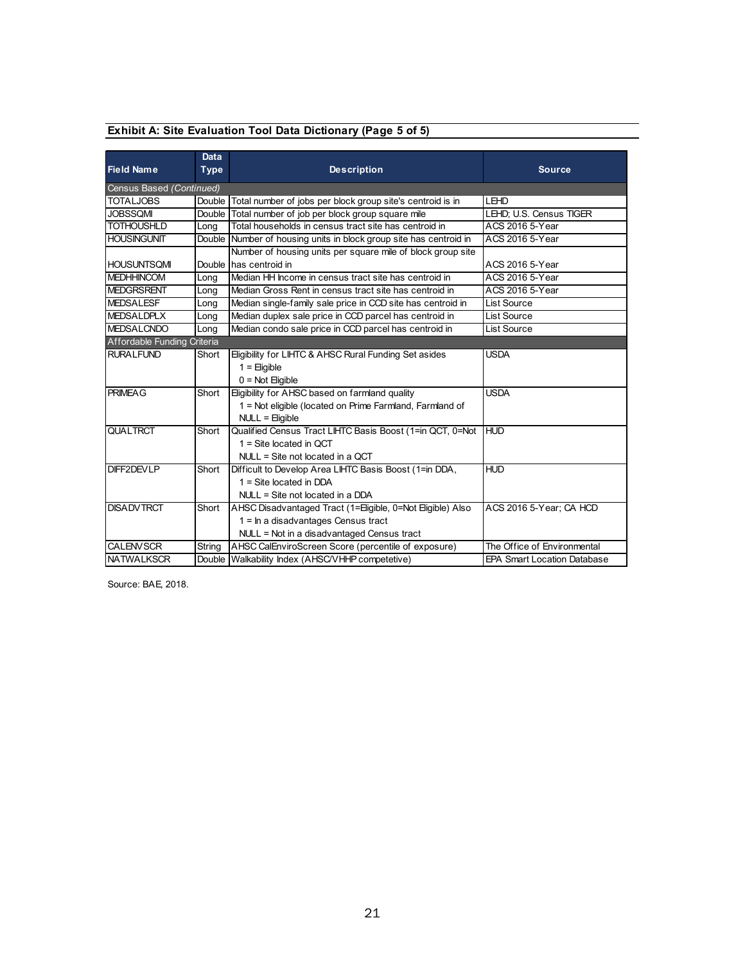|  | Exhibit A: Site Evaluation Tool Data Dictionary (Page 5 of 5) |  |  |  |  |
|--|---------------------------------------------------------------|--|--|--|--|
|  |                                                               |  |  |  |  |

|                             | Data        |                                                                    |                                    |
|-----------------------------|-------------|--------------------------------------------------------------------|------------------------------------|
| <b>Field Name</b>           | <b>Type</b> | <b>Description</b>                                                 | <b>Source</b>                      |
| Census Based (Continued)    |             |                                                                    |                                    |
| <b>TOTALJOBS</b>            | Double      | Total number of jobs per block group site's centroid is in         | LEHD                               |
| <b>JOBSSOMI</b>             | Double      | Total number of job per block group square mile                    | LEHD; U.S. Census TIGER            |
| <b>TOTHOUSHLD</b>           | Long        | Total households in census tract site has centroid in              | ACS 2016 5-Year                    |
| <b>HOUSINGUNIT</b>          |             | Double Number of housing units in block group site has centroid in | <b>ACS 2016 5-Year</b>             |
|                             |             | Number of housing units per square mile of block group site        |                                    |
| <b>HOUSUNTSOMI</b>          |             | Double Thas centroid in                                            | ACS 2016 5-Year                    |
| <b>MEDHHINCOM</b>           | Long        | Median HH Income in census tract site has centroid in              | ACS 2016 5-Year                    |
| <b>MEDGRSRENT</b>           | Long        | Median Gross Rent in census tract site has centroid in             | ACS 2016 5-Year                    |
| <b>MEDSALESF</b>            | Long        | Median single-family sale price in CCD site has centroid in        | <b>List Source</b>                 |
| <b>MEDSALDPLX</b>           | Long        | Median duplex sale price in CCD parcel has centroid in             | <b>List Source</b>                 |
| <b>MEDSALCNDO</b>           | Long        | Median condo sale price in CCD parcel has centroid in              | List Source                        |
| Affordable Funding Criteria |             |                                                                    |                                    |
| <b>RURALFUND</b>            | Short       | Eligibility for LIHTC & AHSC Rural Funding Set asides              | <b>USDA</b>                        |
|                             |             | $1 =$ Eligible                                                     |                                    |
|                             |             | $0 = Not$ Eligible                                                 |                                    |
| <b>PRIMEAG</b>              | Short       | Eligibility for AHSC based on farmland quality                     | <b>USDA</b>                        |
|                             |             | 1 = Not eligible (located on Prime Farmland, Farmland of           |                                    |
|                             |             | NULL = Eligible                                                    |                                    |
| <b>QUALTRCT</b>             | Short       | Qualified Census Tract LIHTC Basis Boost (1=in QCT, 0=Not          | <b>HUD</b>                         |
|                             |             | $1 =$ Site located in QCT                                          |                                    |
|                             |             | $NULL = Site not located in a QCT$                                 |                                    |
| DIFF2DEVLP                  | Short       | Difficult to Develop Area LIHTC Basis Boost (1=in DDA,             | <b>HUD</b>                         |
|                             |             | $1 =$ Site located in DDA                                          |                                    |
|                             |             | $NULL = Site not located in a DDA$                                 |                                    |
| <b>DISADVTRCT</b>           | Short       | AHSC Disadvantaged Tract (1=Eligible, 0=Not Eligible) Also         | ACS 2016 5-Year: CA HCD            |
|                             |             | $1 = \ln a$ disadvantages Census tract                             |                                    |
|                             |             | NULL = Not in a disadvantaged Census tract                         |                                    |
| <b>CALENVSCR</b>            | String      | AHSC CalEnviroScreen Score (percentile of exposure)                | The Office of Environmental        |
| <b>NATWALKSCR</b>           |             | Double Walkability Index (AHSC/VHHP competetive)                   | <b>EPA Smart Location Database</b> |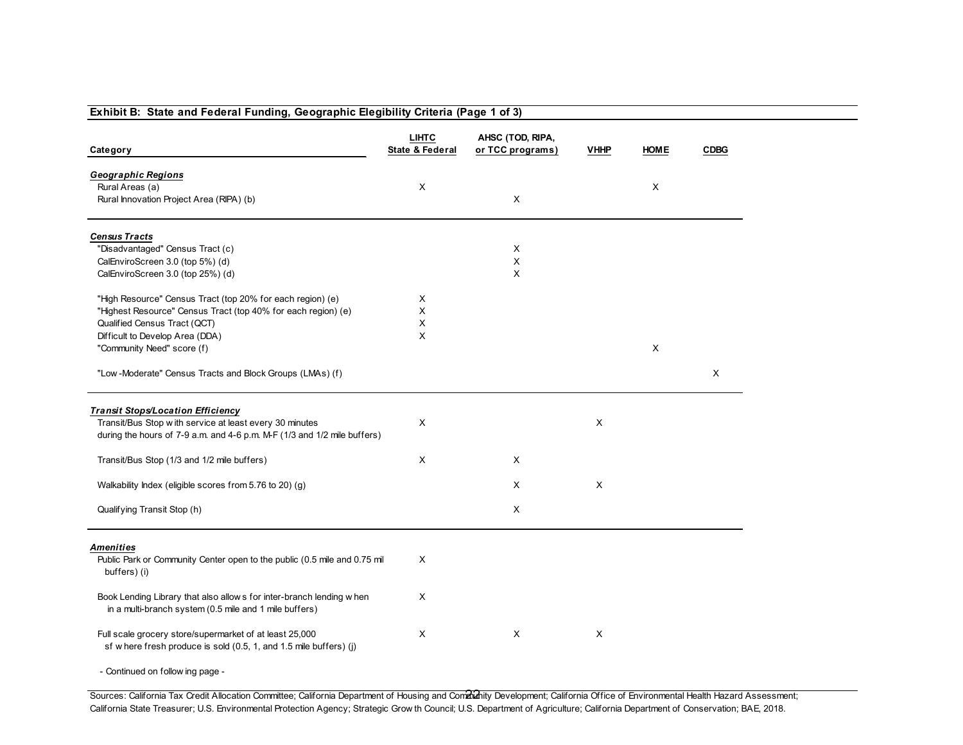#### **Exhibit B: State and Federal Funding, Geographic Elegibility Criteria (Page 1 of 3)LIHTCAHSC (TOD, RIPA,**<br>**State & Federal** or TCC programs **Category State & Federal or TCC programs) VHHP HOME CDBG***Geographic Regions*Rural Areas (a)) and the contract of  $\lambda$  $\mathsf{X}$  and  $\mathsf{X}$ Rural Innovation Project Area (RIPA) (b)) and the contract of  $\lambda$ *Census Tracts* "Disadvantaged" Census Tract (c)) and the contract of  $\lambda$  $\pmb{\times}$ CalEnviroScreen 3.0 (top 5%) (d)) and the contract of  $\mathsf{X}$  $\mathsf{x}$ CalEnviroScreen 3.0 (top 25%) (d)) and the contract of  $\lambda$ "High Resource" Census Tract (top 20% for each region) (e) <sup>X</sup> "Highest Resource" Census Tract (top 40% for each region) (e) <sup>X</sup> Qualified Census Tract (QCT) $)$  x  $\times$ Difficult to Develop Area (DDA)) and the contract of  $\lambda$ "Community Need" score (f)) and the contract of the contract of  $X$ "Low -Moderate" Census Tracts and Block Groups (LMAs) (f) <sup>X</sup> *Transit Stops/Location Efficiency* Transit/Bus Stop w ith service at least every 30 minutes <sup>X</sup> <sup>X</sup> during the hours of 7-9 a.m. and 4-6 p.m. M-F (1/3 and 1/2 mile buffers)Transit/Bus Stop (1/3 and 1/2 mile buffers) $\mathsf{X}$  x x Walkability Index (eligible scores from 5.76 to 20) (g) $\mathsf{X}$  x x Qualifying Transit Stop (h)) and the contract of  $\lambda$ *Amenities*Public Park or Community Center open to the public (0.5 mile and 0.75 mil X buffers) (i)Book Lending Library that also allow s for inter-branch lending w hen X in a multi-branch system (0.5 mile and 1 mile buffers)Full scale grocery store/supermarket of at least 25,000 X X X X X X X X sf w here fresh produce is sold (0.5, 1, and 1.5 mile buffers) (j)

- Continued on follow ing page -

Sources: California Tax Credit Allocation Committee; California Department of Housing and Community Development; California Office of Environmental Health Hazard Assessment; California State Treasurer; U.S. Environmental Protection Agency; Strategic Grow th Council; U.S. Department of Agriculture; California Department of Conservation; BAE, 2018.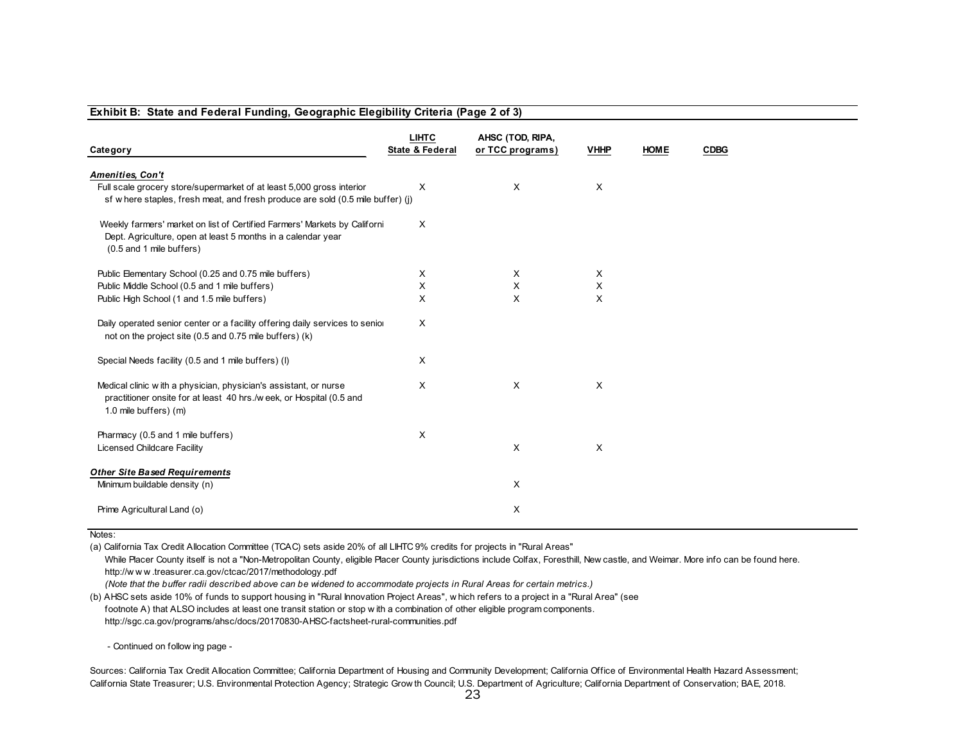#### **Exhibit B: State and Federal Funding, Geographic Elegibility Criteria (Page 2 of 3)**

|                                                                                                                                                                       | <b>LIHTC</b>    | AHSC (TOD, RIPA, |             |             |             |
|-----------------------------------------------------------------------------------------------------------------------------------------------------------------------|-----------------|------------------|-------------|-------------|-------------|
| Category                                                                                                                                                              | State & Federal | or TCC programs) | <b>VHHP</b> | <b>HOME</b> | <b>CDBG</b> |
| <b>Amenities, Con't</b>                                                                                                                                               |                 |                  |             |             |             |
| Full scale grocery store/supermarket of at least 5,000 gross interior<br>sf w here staples, fresh meat, and fresh produce are sold (0.5 mile buffer) (j)              | X               | $\times$         | $\times$    |             |             |
| Weekly farmers' market on list of Certified Farmers' Markets by Californi<br>Dept. Agriculture, open at least 5 months in a calendar year<br>(0.5 and 1 mile buffers) | X               |                  |             |             |             |
| Public Elementary School (0.25 and 0.75 mile buffers)                                                                                                                 | Х               | X                | Χ           |             |             |
| Public Middle School (0.5 and 1 mile buffers)                                                                                                                         | X               | $\sf X$          | X           |             |             |
| Public High School (1 and 1.5 mile buffers)                                                                                                                           | X               | $\times$         | X           |             |             |
| Daily operated senior center or a facility offering daily services to senior<br>not on the project site (0.5 and 0.75 mile buffers) (k)                               | X               |                  |             |             |             |
| Special Needs facility (0.5 and 1 mile buffers) (I)                                                                                                                   | X               |                  |             |             |             |
| Medical clinic with a physician, physician's assistant, or nurse<br>practitioner onsite for at least 40 hrs./w eek, or Hospital (0.5 and<br>1.0 mile buffers) (m)     | X               | Χ                | $\times$    |             |             |
| Pharmacy (0.5 and 1 mile buffers)<br>Licensed Childcare Facility                                                                                                      | X               | X                | Χ           |             |             |
| <b>Other Site Based Requirements</b>                                                                                                                                  |                 |                  |             |             |             |
| Minimum buildable density (n)                                                                                                                                         |                 | X                |             |             |             |
| Prime Agricultural Land (o)                                                                                                                                           |                 | X                |             |             |             |

#### Notes:

(a) California Tax Credit Allocation Committee (TCAC) sets aside 20% of all LIHTC 9% credits for projects in "Rural Areas"

While Placer County itself is not a "Non-Metropolitan County, eligible Placer County jurisdictions include Colfax, Foresthill, New castle, and Weimar. More info can be found here. http://w <sup>w</sup> <sup>w</sup> .treasurer.ca.gov/ctcac/2017/methodology.pdf

*(Note that the buffer radii described above can be widened to accommodate projects in Rural Areas for certain metrics.)*

 (b) AHSC sets aside 10% of funds to support housing in "Rural Innovation Project Areas", w hich refers to a project in a "Rural Area" (see footnote A) that ALSO includes at least one transit station or stop w ith a combination of other eligible program components. http://sgc.ca.gov/programs/ahsc/docs/20170830-AHSC-factsheet-rural-communities.pdf

- Continued on follow ing page -

Sources: California Tax Credit Allocation Committee; California Department of Housing and Community Development; California Office of Environmental Health Hazard Assessment; California State Treasurer; U.S. Environmental Protection Agency; Strategic Grow th Council; U.S. Department of Agriculture; California Department of Conservation; BAE, 2018.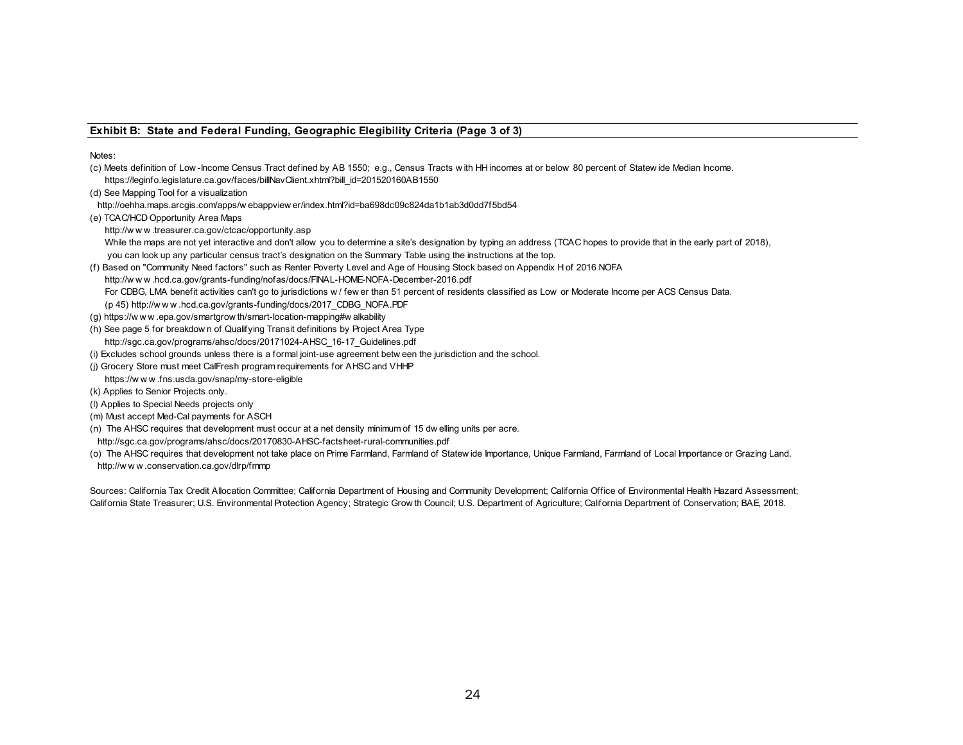#### **Exhibit B: State and Federal Funding, Geographic Elegibility Criteria (Page 3 of 3)**

Notes:

(c) Meets definition of Low -Income Census Tract defined by AB 1550; e.g., Census Tracts w ith HH incomes at or below 80 percent of Statew ide Median Income. https://leginfo.legislature.ca.gov/faces/billNavClient.xhtml?bill\_id=201520160AB1550

(d) See Mapping Tool for a visualization

- http://oehha.maps.arcgis.com/apps/w ebappview er/index.html?id=ba698dc09c824da1b1ab3d0dd7f5bd54
- (e) TCAC/HCD Opportunity Area Maps

http://w <sup>w</sup> <sup>w</sup> .treasurer.ca.gov/ctcac/opportunity.asp

While the maps are not yet interactive and don't allow you to determine a site's designation by typing an address (TCAC hopes to provide that in the early part of 2018), you can look up any particular census tract's designation on the Summary Table using the instructions at the top.

(f) Based on "Community Need factors" such as Renter Poverty Level and Age of Housing Stock based on Appendix H of 2016 NOFA

http://w <sup>w</sup> <sup>w</sup> .hcd.ca.gov/grants-funding/nofas/docs/FINAL-HOME-NOFA-December-2016.pdf

For CDBG, LMA benefit activities can't go to jurisdictions w / few er than 51 percent of residents classified as Low or Moderate Income per ACS Census Data.<br>(p 45) http://w w w .hcd.ca.gov/grants-funding/docs/2017 CDBG NOF

(g) https://w <sup>w</sup> <sup>w</sup> .epa.gov/smartgrow th/smart-location-mapping#w alkability

- (h) See page 5 for breakdow n of Qualifying Transit definitions by Project Area Type http://sgc.ca.gov/programs/ahsc/docs/20171024-AHSC\_16-17\_Guidelines.pdf
- (i) Excludes school grounds unless there is a formal joint-use agreement betw een the jurisdiction and the school.
- (j) Grocery Store must meet CalFresh program requirements for AHSC and VHHP

#### https://w <sup>w</sup> <sup>w</sup> .fns.usda.gov/snap/my-store-eligible

- (k) Applies to Senior Projects only.
- (l) Applies to Special Needs projects only
- (m) Must accept Med-Cal payments for ASCH
- (n) The AHSC requires that development must occur at a net density minimum of 15 dw elling units per acre.
- http://sgc.ca.gov/programs/ahsc/docs/20170830-AHSC-factsheet-rural-communities.pdf
- (o) The AHSC requires that development not take place on Prime Farmland, Farmland of Statew ide Importance, Unique Farmland, Farmland of Local Importance or Grazing Land. http://w <sup>w</sup> <sup>w</sup> .conservation.ca.gov/dlrp/fmmp

Sources: California Tax Credit Allocation Committee; California Department of Housing and Community Development; California Office of Environmental Health Hazard Assessment; California State Treasurer; U.S. Environmental Protection Agency; Strategic Grow th Council; U.S. Department of Agriculture; California Department of Conservation; BAE, 2018.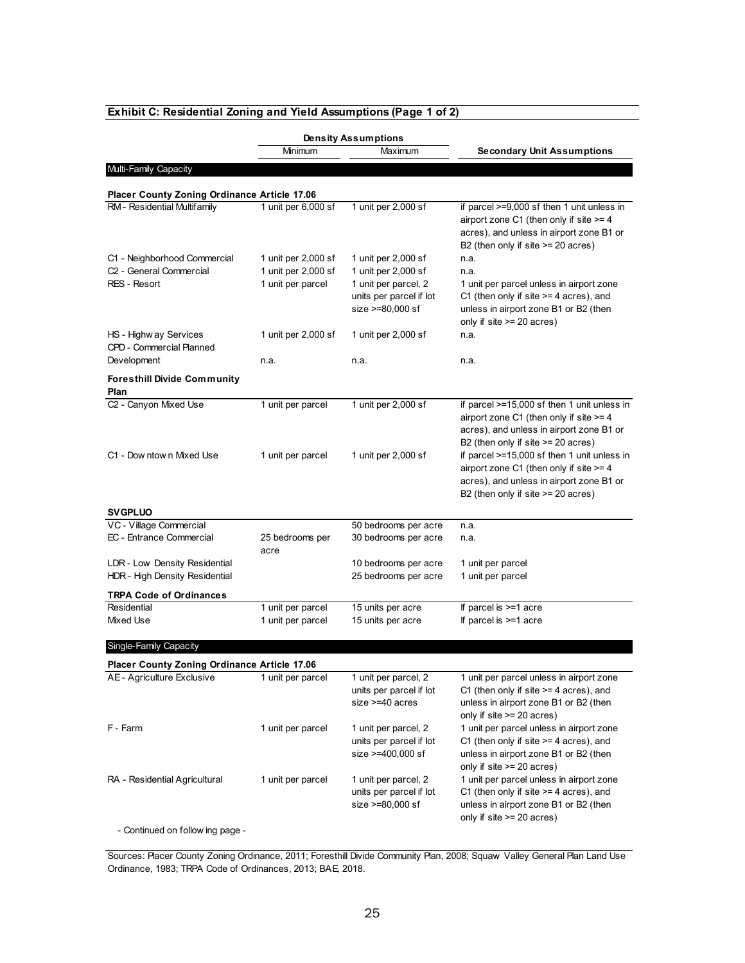|                                                           |                                        | <b>Density Assumptions</b>                                           |                                                                                                                                                                            |  |  |
|-----------------------------------------------------------|----------------------------------------|----------------------------------------------------------------------|----------------------------------------------------------------------------------------------------------------------------------------------------------------------------|--|--|
|                                                           | Minimum                                | Maximum                                                              | <b>Secondary Unit Assumptions</b>                                                                                                                                          |  |  |
| Multi-Family Capacity                                     |                                        |                                                                      |                                                                                                                                                                            |  |  |
| Placer County Zoning Ordinance Article 17.06              |                                        |                                                                      |                                                                                                                                                                            |  |  |
| RM - Residential Multifamily                              | 1 unit per 6,000 sf                    | 1 unit per 2,000 sf                                                  | if parcel >=9,000 sf then 1 unit unless in                                                                                                                                 |  |  |
|                                                           |                                        |                                                                      | airport zone C1 (then only if site $>= 4$<br>acres), and unless in airport zone B1 or<br>B2 (then only if site $>= 20$ acres)                                              |  |  |
| C1 - Neighborhood Commercial                              | 1 unit per 2,000 sf                    | 1 unit per 2,000 sf                                                  | n.a.                                                                                                                                                                       |  |  |
| C <sub>2</sub> - General Commercial                       | 1 unit per 2,000 sf                    | 1 unit per 2,000 sf                                                  | n.a.                                                                                                                                                                       |  |  |
| RES - Resort                                              | 1 unit per parcel                      | 1 unit per parcel, 2<br>units per parcel if lot<br>size >=80,000 sf  | 1 unit per parcel unless in airport zone<br>C1 (then only if site $>=$ 4 acres), and<br>unless in airport zone B1 or B2 (then<br>only if $site \ge 20$ acres)              |  |  |
| HS - Highw ay Services<br><b>CPD - Commercial Planned</b> | 1 unit per 2,000 sf                    | 1 unit per 2,000 sf                                                  | n.a.                                                                                                                                                                       |  |  |
| Development                                               | n.a.                                   | n.a.                                                                 | n.a.                                                                                                                                                                       |  |  |
| <b>Foresthill Divide Community</b><br>Plan                |                                        |                                                                      |                                                                                                                                                                            |  |  |
| C <sub>2</sub> - Canyon Mixed Use                         | 1 unit per parcel                      | 1 unit per 2,000 sf                                                  | if parcel >=15,000 sf then 1 unit unless in<br>airport zone C1 (then only if site >= 4<br>acres), and unless in airport zone B1 or<br>B2 (then only if site >= 20 acres)   |  |  |
| C1 - Dow ntow n Mixed Use                                 | 1 unit per parcel                      | 1 unit per 2,000 sf                                                  | if parcel >=15,000 sf then 1 unit unless in<br>airport zone C1 (then only if site >= 4<br>acres), and unless in airport zone B1 or<br>B2 (then only if site $>= 20$ acres) |  |  |
| <b>SV GPLUO</b>                                           |                                        |                                                                      |                                                                                                                                                                            |  |  |
| VC - Village Commercial                                   |                                        | 50 bedrooms per acre                                                 | n.a.                                                                                                                                                                       |  |  |
| EC - Entrance Commercial                                  | 25 bedrooms per<br>acre                | 30 bedrooms per acre                                                 | n.a.                                                                                                                                                                       |  |  |
| LDR - Low Density Residential                             |                                        | 10 bedrooms per acre                                                 | 1 unit per parcel                                                                                                                                                          |  |  |
| HDR - High Density Residential                            |                                        | 25 bedrooms per acre                                                 | 1 unit per parcel                                                                                                                                                          |  |  |
| <b>TRPA Code of Ordinances</b>                            |                                        |                                                                      |                                                                                                                                                                            |  |  |
| Residential<br>Mixed Use                                  | 1 unit per parcel<br>1 unit per parcel | 15 units per acre<br>15 units per acre                               | If parcel is $>=1$ acre<br>If parcel is $>=1$ acre                                                                                                                         |  |  |
|                                                           |                                        |                                                                      |                                                                                                                                                                            |  |  |
| Single-Family Capacity                                    |                                        |                                                                      |                                                                                                                                                                            |  |  |
| Placer County Zoning Ordinance Article 17.06              |                                        |                                                                      |                                                                                                                                                                            |  |  |
| AE - Agriculture Exclusive                                | 1 unit per parcel                      | 1 unit per parcel, 2<br>units per parcel if lot<br>size >=40 acres   | 1 unit per parcel unless in airport zone<br>C1 (then only if site $\ge$ = 4 acres), and<br>unless in airport zone B1 or B2 (then<br>only if site >= 20 acres)              |  |  |
| F - Farm                                                  | 1 unit per parcel                      | 1 unit per parcel, 2<br>units per parcel if lot<br>size >=400,000 sf | 1 unit per parcel unless in airport zone<br>C1 (then only if site $>=$ 4 acres), and<br>unless in airport zone B1 or B2 (then                                              |  |  |
| RA - Residential Agricultural                             | 1 unit per parcel                      | 1 unit per parcel, 2                                                 | only if site >= 20 acres)<br>1 unit per parcel unless in airport zone                                                                                                      |  |  |

### **Exhibit C: Residential Zoning and Yield Assumptions (Page 1 of 2)**

- Continued on follow ing page -

Sources: Placer County Zoning Ordinance, 2011; Foresthill Divide Community Plan, 2008; Squaw Valley General Plan Land Use Ordinance, 1983; TRPA Code of Ordinances, 2013; BAE, 2018.

units per parcel if lot size >=80,000 sf

C1 (then only if site >= 4 acres), and unless in airport zone B1 or B2 (then

only if site >= 20 acres)